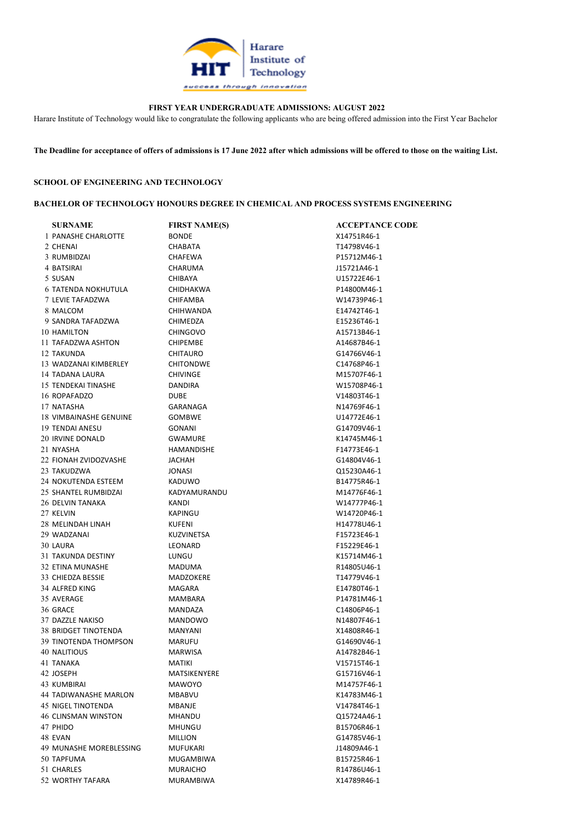

## FIRST YEAR UNDERGRADUATE ADMISSIONS: AUGUST 2022

Harare Institute of Technology would like to congratulate the following applicants who are being offered admission into the First Year Bachelor

The Deadline for acceptance of offers of admissions is 17 June 2022 after which admissions will be offered to those on the waiting List.

## SCHOOL OF ENGINEERING AND TECHNOLOGY

#### BACHELOR OF TECHNOLOGY HONOURS DEGREE IN CHEMICAL AND PROCESS SYSTEMS ENGINEERING

| <b>SURNAME</b>               | <b>FIRST NAME(S)</b> | <b>ACCEPTANCE CODE</b> |
|------------------------------|----------------------|------------------------|
| 1 PANASHE CHARLOTTE          | <b>BONDE</b>         | X14751R46-1            |
| 2 CHENAI                     | <b>CHABATA</b>       | T14798V46-1            |
| 3 RUMBIDZAI                  | <b>CHAFEWA</b>       | P15712M46-1            |
| 4 BATSIRAI                   | CHARUMA              | J15721A46-1            |
| 5 SUSAN                      | <b>CHIBAYA</b>       | U15722E46-1            |
| <b>6 TATENDA NOKHUTULA</b>   | <b>CHIDHAKWA</b>     | P14800M46-1            |
| 7 LEVIE TAFADZWA             | <b>CHIFAMBA</b>      | W14739P46-1            |
| 8 MALCOM                     | CHIHWANDA            | E14742T46-1            |
| 9 SANDRA TAFADZWA            | <b>CHIMEDZA</b>      | E15236T46-1            |
| 10 HAMILTON                  | <b>CHINGOVO</b>      | A15713B46-1            |
| 11 TAFADZWA ASHTON           | <b>CHIPEMBE</b>      | A14687B46-1            |
| 12 TAKUNDA                   | <b>CHITAURO</b>      | G14766V46-1            |
| 13 WADZANAI KIMBERLEY        | <b>CHITONDWE</b>     | C14768P46-1            |
| 14 TADANA LAURA              | <b>CHIVINGE</b>      | M15707F46-1            |
| 15 TENDEKAI TINASHE          | DANDIRA              | W15708P46-1            |
| 16 ROPAFADZO                 | DUBE                 | V14803T46-1            |
| 17 NATASHA                   | GARANAGA             | N14769F46-1            |
| 18 VIMBAINASHE GENUINE       | <b>GOMBWE</b>        | U14772E46-1            |
| 19 TENDAI ANESU              | GONANI               | G14709V46-1            |
| 20 IRVINE DONALD             | <b>GWAMURE</b>       | K14745M46-1            |
| 21 NYASHA                    | HAMANDISHE           | F14773E46-1            |
| 22 FIONAH ZVIDOZVASHE        | JACHAH               | G14804V46-1            |
| 23 TAKUDZWA                  | <b>JONASI</b>        | Q15230A46-1            |
| 24 NOKUTENDA ESTEEM          | <b>KADUWO</b>        | B14775R46-1            |
| 25 SHANTEL RUMBIDZAI         | KADYAMURANDU         | M14776F46-1            |
| 26 DELVIN TANAKA             | KANDI                | W14777P46-1            |
| 27 KELVIN                    | <b>KAPINGU</b>       | W14720P46-1            |
| 28 MELINDAH LINAH            | <b>KUFENI</b>        | H14778U46-1            |
| 29 WADZANAI                  | KUZVINETSA           | F15723E46-1            |
| 30 LAURA                     | LEONARD              | F15229E46-1            |
| 31 TAKUNDA DESTINY           | LUNGU                | K15714M46-1            |
| 32 ETINA MUNASHE             | MADUMA               | R14805U46-1            |
| 33 CHIEDZA BESSIE            | MADZOKERE            | T14779V46-1            |
| 34 ALFRED KING               | MAGARA               | E14780T46-1            |
| 35 AVERAGE                   | <b>MAMBARA</b>       | P14781M46-1            |
|                              |                      |                        |
| 36 GRACE                     | MANDAZA              | C14806P46-1            |
| 37 DAZZLE NAKISO             | MANDOWO              | N14807F46-1            |
| 38 BRIDGET TINOTENDA         | MANYANI              | X14808R46-1            |
| <b>39 TINOTENDA THOMPSON</b> | <b>MARUFU</b>        | G14690V46-1            |
| 40 NALITIOUS                 | <b>MARWISA</b>       | A14782B46-1            |
| 41 TANAKA                    | MATIKI               | V15715T46-1            |
| 42 JOSEPH                    | MATSIKENYERE         | G15716V46-1            |
| 43 KUMBIRAI                  | <b>MAWOYO</b>        | M14757F46-1            |
| <b>44 TADIWANASHE MARLON</b> | MBABVU               | K14783M46-1            |
| 45 NIGEL TINOTENDA           | MBANJE               | V14784T46-1            |
| 46 CLINSMAN WINSTON          | MHANDU               | Q15724A46-1            |
| 47 PHIDO                     | <b>MHUNGU</b>        | B15706R46-1            |
| 48 EVAN                      | <b>MILLION</b>       | G14785V46-1            |
| 49 MUNASHE MOREBLESSING      | <b>MUFUKARI</b>      | J14809A46-1            |
| 50 TAPFUMA                   | MUGAMBIWA            | B15725R46-1            |
| 51 CHARLES                   | <b>MURAICHO</b>      | R14786U46-1            |
| 52 WORTHY TAFARA             | MURAMBIWA            | X14789R46-1            |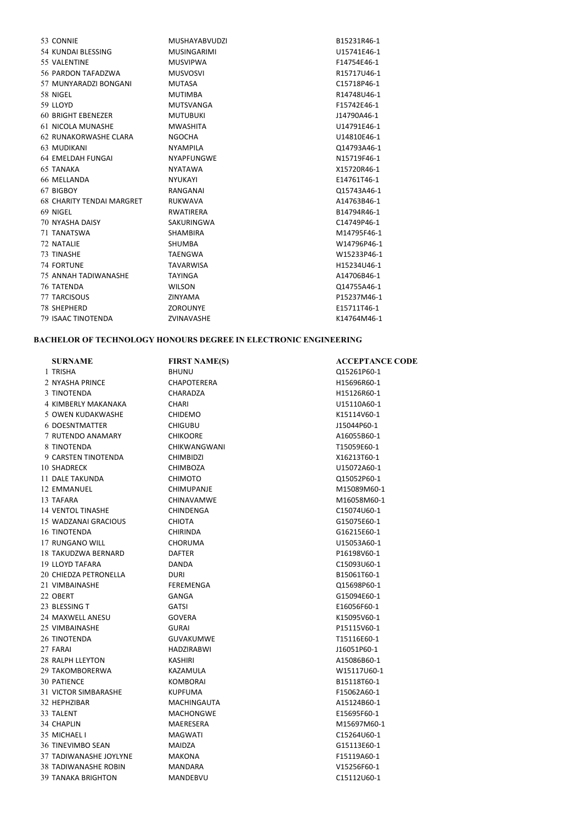| 53 CONNIE                        | <b>MUSHAYABVUDZI</b> | B15231R46-1 |
|----------------------------------|----------------------|-------------|
| 54 KUNDAI BLESSING               | <b>MUSINGARIMI</b>   | U15741E46-1 |
| 55 VALENTINE                     | <b>MUSVIPWA</b>      | F14754E46-1 |
| 56 PARDON TAFADZWA               | <b>MUSVOSVI</b>      | R15717U46-1 |
| 57 MUNYARADZI BONGANI            | <b>MUTASA</b>        | C15718P46-1 |
| 58 NIGEL                         | <b>MUTIMBA</b>       | R14748U46-1 |
| 59 LLOYD                         | <b>MUTSVANGA</b>     | F15742E46-1 |
| <b>60 BRIGHT EBENEZER</b>        | <b>MUTUBUKI</b>      | J14790A46-1 |
| 61 NICOLA MUNASHE                | <b>MWASHITA</b>      | U14791E46-1 |
| 62 RUNAKORWASHE CLARA            | <b>NGOCHA</b>        | U14810E46-1 |
| 63 MUDIKANI                      | <b>NYAMPILA</b>      | Q14793A46-1 |
| 64 EMELDAH FUNGAI                | <b>NYAPFUNGWE</b>    | N15719F46-1 |
| <b>65 TANAKA</b>                 | <b>NYATAWA</b>       | X15720R46-1 |
| 66 MELLANDA                      | <b>NYUKAYI</b>       | E14761T46-1 |
| 67 BIGBOY                        | RANGANAI             | Q15743A46-1 |
| <b>68 CHARITY TENDAI MARGRET</b> | <b>RUKWAVA</b>       | A14763B46-1 |
| 69 NIGEL                         | RWATIRERA            | B14794R46-1 |
| <b>70 NYASHA DAISY</b>           | SAKURINGWA           | C14749P46-1 |
| 71 TANATSWA                      | <b>SHAMBIRA</b>      | M14795F46-1 |
| 72 NATALIE                       | <b>SHUMBA</b>        | W14796P46-1 |
| 73 TINASHE                       | <b>TAENGWA</b>       | W15233P46-1 |
| <b>74 FORTUNE</b>                | <b>TAVARWISA</b>     | H15234U46-1 |
| 75 ANNAH TADIWANASHE             | <b>TAYINGA</b>       | A14706B46-1 |
| 76 TATENDA                       | <b>WILSON</b>        | Q14755A46-1 |
| <b>77 TARCISOUS</b>              | ZINYAMA              | P15237M46-1 |
| <b>78 SHEPHERD</b>               | ZOROUNYE             | E15711T46-1 |
| 79 ISAAC TINOTENDA               | ZVINAVASHE           | K14764M46-1 |

## BACHELOR OF TECHNOLOGY HONOURS DEGREE IN ELECTRONIC ENGINEERING

| <b>SURNAME</b>              | <b>FIRST NAME(S)</b> | <b>ACCEPTANCE CODE</b> |
|-----------------------------|----------------------|------------------------|
| 1 TRISHA                    | <b>BHUNU</b>         | Q15261P60-1            |
| 2 NYASHA PRINCE             | <b>CHAPOTERERA</b>   | H15696R60-1            |
| 3 TINOTENDA                 | CHARADZA             | H15126R60-1            |
| 4 KIMBERLY MAKANAKA         | <b>CHARI</b>         | U15110A60-1            |
| 5 OWEN KUDAKWASHE           | <b>CHIDEMO</b>       | K15114V60-1            |
| <b>6 DOESNTMATTER</b>       | <b>CHIGUBU</b>       | J15044P60-1            |
| 7 RUTENDO ANAMARY           | <b>CHIKOORE</b>      | A16055B60-1            |
| 8 TINOTENDA                 | <b>CHIKWANGWANI</b>  | T15059E60-1            |
| 9 CARSTEN TINOTENDA         | <b>CHIMBIDZI</b>     | X16213T60-1            |
| <b>10 SHADRECK</b>          | <b>CHIMBOZA</b>      | U15072A60-1            |
| 11 DALE TAKUNDA             | <b>CHIMOTO</b>       | Q15052P60-1            |
| 12 EMMANUEL                 | <b>CHIMUPANJE</b>    | M15089M60-1            |
| 13 TAFARA                   | <b>CHINAVAMWE</b>    | M16058M60-1            |
| <b>14 VENTOL TINASHE</b>    | <b>CHINDENGA</b>     | C15074U60-1            |
| 15 WADZANAI GRACIOUS        | <b>CHIOTA</b>        | G15075E60-1            |
| 16 TINOTENDA                | <b>CHIRINDA</b>      | G16215E60-1            |
| 17 RUNGANO WILL             | <b>CHORUMA</b>       | U15053A60-1            |
| 18 TAKUDZWA BERNARD         | <b>DAFTER</b>        | P16198V60-1            |
| 19 LLOYD TAFARA             | <b>DANDA</b>         | C15093U60-1            |
| 20 CHIEDZA PETRONELLA       | <b>DURI</b>          | B15061T60-1            |
| 21 VIMBAINASHE              | FEREMENGA            | Q15698P60-1            |
| 22 OBERT                    | GANGA                | G15094E60-1            |
| 23 BLESSING T               | <b>GATSI</b>         | E16056F60-1            |
| 24 MAXWELL ANESU            | <b>GOVERA</b>        | K15095V60-1            |
| 25 VIMBAINASHE              | <b>GURAI</b>         | P15115V60-1            |
| 26 TINOTENDA                | <b>GUVAKUMWE</b>     | T15116E60-1            |
| 27 FARAI                    | <b>HADZIRABWI</b>    | J16051P60-1            |
| 28 RALPH LLEYTON            | <b>KASHIRI</b>       | A15086B60-1            |
| 29 TAKOMBORERWA             | KAZAMULA             | W15117U60-1            |
| <b>30 PATIENCE</b>          | <b>KOMBORAI</b>      | B15118T60-1            |
| 31 VICTOR SIMBARASHE        | <b>KUPFUMA</b>       | F15062A60-1            |
| 32 HEPHZIBAR                | <b>MACHINGAUTA</b>   | A15124B60-1            |
| 33 TALENT                   | <b>MACHONGWE</b>     | E15695F60-1            |
| 34 CHAPLIN                  | MAERESERA            | M15697M60-1            |
| 35 MICHAEL I                | <b>MAGWATI</b>       | C15264U60-1            |
| <b>36 TINEVIMBO SEAN</b>    | <b>MAIDZA</b>        | G15113E60-1            |
| 37 TADIWANASHE JOYLYNE      | <b>MAKONA</b>        | F15119A60-1            |
| <b>38 TADIWANASHE ROBIN</b> | <b>MANDARA</b>       | V15256F60-1            |
| <b>39 TANAKA BRIGHTON</b>   | MANDEBVU             | C15112U60-1            |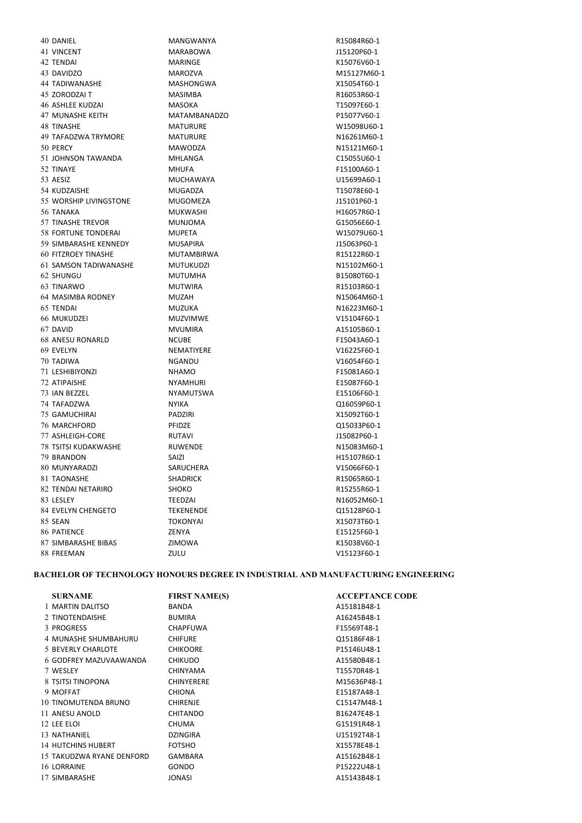VINCENT MARABOWA J15120P60-1 TENDAI MARINGE K15076V60-1 DAVIDZO MAROZVA M15127M60-1 TADIWANASHE MASHONGWA X15054T60-1 ZORODZAI T MASIMBA R16053R60-1 ASHLEE KUDZAI MASOKA T15097E60-1 MUNASHE KEITH MATAMBANADZO P15077V60-1 TINASHE MATURURE W15098U60-1 49 TAFADZWA TRYMORE MATURURE MATURURE NIG261M60-1 PERCY MAWODZA N15121M60-1 JOHNSON TAWANDA MHLANGA C15055U60-1 TINAYE MHUFA F15100A60-1 AESIZ MUCHAWAYA U15699A60-1 KUDZAISHE MUGADZA T15078E60-1 55 WORSHIP LIVINGSTONE MUGOMEZA JUSTO 215101P60-1 TANAKA MUKWASHI H16057R60-1 TINASHE TREVOR MUNJOMA G15056E60-1 FORTUNE TONDERAI MUPETA W15079U60-1 SIMBARASHE KENNEDY MUSAPIRA J15063P60-1 FITZROEY TINASHE MUTAMBIRWA R15122R60-1 SAMSON TADIWANASHE MUTUKUDZI N15102M60-1 SHUNGU MUTUMHA B15080T60-1 TINARWO MUTWIRA R15103R60-1 MASIMBA RODNEY MUZAH N15064M60-1 TENDAI MUZUKA N16223M60-1 MUKUDZEI MUZVIMWE V15104F60-1 DAVID MVUMIRA A15105B60-1 ANESU RONARLD NCUBE F15043A60-1 EVELYN NEMATIYERE V16225F60-1 TADIWA NGANDU V16054F60-1 LESHIBIYONZI NHAMO F15081A60-1 ATIPAISHE NYAMHURI E15087F60-1 IAN BEZZEL NYAMUTSWA E15106F60-1 TAFADZWA NYIKA Q16059P60-1 GAMUCHIRAI PADZIRI X15092T60-1 MARCHFORD PFIDZE Q15033P60-1 ASHLEIGH-CORE RUTAVI J15082P60-1 TSITSI KUDAKWASHE RUWENDE N15083M60-1 BRANDON SAIZI H15107R60-1 MUNYARADZI SARUCHERA V15066F60-1 81 TAONASHE SHADRICK SHADRICK R15065R60-1 82 TENDAI NETARIRO SHOKO SHOKO R15255R60-1 83 LESLEY TEEDZAI TEEDZAI N16052M60-1 EVELYN CHENGETO TEKENENDE Q15128P60-1 SEAN TOKONYAI X15073T60-1 PATIENCE ZENYA E15125F60-1 SIMBARASHE BIBAS ZIMOWA K15038V60-1 FREEMAN ZULU V15123F60-1

DANIEL MANGWANYA R15084R60-1

#### BACHELOR OF TECHNOLOGY HONOURS DEGREE IN INDUSTRIAL AND MANUFACTURING ENGINEERING

| <b>SURNAME</b>            | <b>FIRST NAME(S)</b> | <b>ACCEPTANCE CODE</b> |
|---------------------------|----------------------|------------------------|
| 1 MARTIN DALITSO          | <b>BANDA</b>         | A15181B48-1            |
| 2 TINOTENDAISHE           | <b>BUMIRA</b>        | A16245B48-1            |
| 3 PROGRESS                | <b>CHAPFUWA</b>      | F15569T48-1            |
| 4 MUNASHE SHUMBAHURU      | <b>CHIFURE</b>       | Q15186F48-1            |
| 5 BEVERLY CHARLOTE        | <b>CHIKOORE</b>      | P15146U48-1            |
| 6 GODFREY MAZUVAAWANDA    | <b>CHIKUDO</b>       | A15580B48-1            |
| 7 WESLEY                  | <b>CHINYAMA</b>      | T15570R48-1            |
| 8 TSITSI TINOPONA         | <b>CHINYERERE</b>    | M15636P48-1            |
| 9 MOFFAT                  | <b>CHIONA</b>        | E15187A48-1            |
| 10 TINOMUTENDA BRUNO      | <b>CHIRENJE</b>      | C15147M48-1            |
| 11 ANESU ANOLD            | CHITANDO             | B16247E48-1            |
| 12 LEE ELOI               | <b>CHUMA</b>         | G15191R48-1            |
| 13 NATHANIEL              | <b>DZINGIRA</b>      | U15192T48-1            |
| 14 HUTCHINS HUBERT        | <b>FOTSHO</b>        | X15578E48-1            |
| 15 TAKUDZWA RYANE DENFORD | GAMBARA              | A15162B48-1            |
| 16 LORRAINE               | <b>GONDO</b>         | P15222U48-1            |
| 17 SIMBARASHE             | <b>JONASI</b>        | A15143B48-1            |
|                           |                      |                        |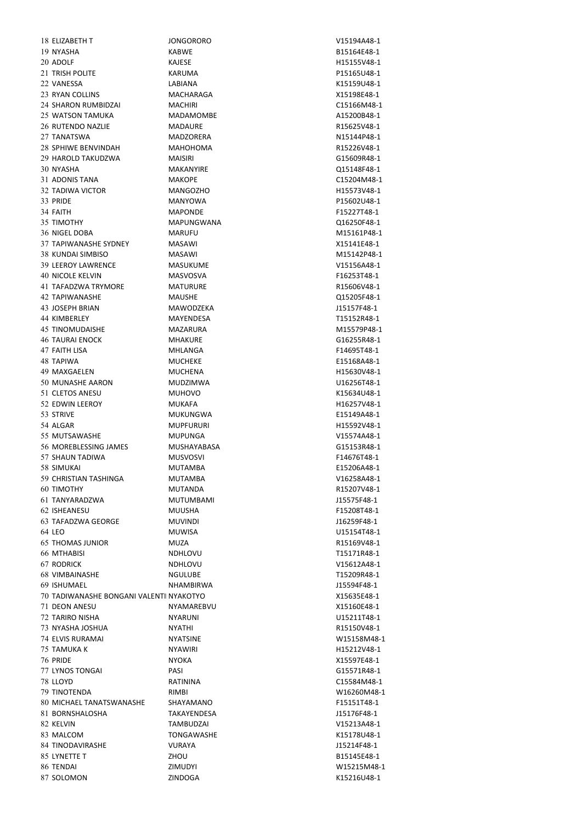ELIZABETH T JONGORORO V15194A48-1 NYASHA KABWE B15164E48-1 20 ADOLF KAJESE KAJESE H15155V48-1 TRISH POLITE KARUMA P15165U48-1 VANESSA LABIANA K15159U48-1 RYAN COLLINS MACHARAGA X15198E48-1 SHARON RUMBIDZAI MACHIRI C15166M48-1 25 WATSON TAMUKA **MADAMOMBE** A15200B48-1 RUTENDO NAZLIE MADAURE R15625V48-1 TANATSWA MADZORERA N15144P48-1 SPHIWE BENVINDAH MAHOHOMA R15226V48-1 HAROLD TAKUDZWA MAISIRI G15609R48-1 NYASHA MAKANYIRE Q15148F48-1 31 ADONIS TANA MAKOPE MAKOPE C15204M48-1 TADIWA VICTOR MANGOZHO H15573V48-1 PRIDE MANYOWA P15602U48-1 FAITH MAPONDE F15227T48-1 TIMOTHY MAPUNGWANA Q16250F48-1 NIGEL DOBA MARUFU M15161P48-1 TAPIWANASHE SYDNEY MASAWI X15141E48-1 KUNDAI SIMBISO MASAWI M15142P48-1 LEEROY LAWRENCE MASUKUME V15156A48-1 NICOLE KELVIN MASVOSVA F16253T48-1 TAFADZWA TRYMORE MATURURE R15606V48-1 TAPIWANASHE MAUSHE Q15205F48-1 43 JOSEPH BRIAN MAWODZEKA J15157F48-1 KIMBERLEY MAYENDESA T15152R48-1 TINOMUDAISHE MAZARURA M15579P48-1 TAURAI ENOCK MHAKURE G16255R48-1 FAITH LISA MHLANGA F14695T48-1 TAPIWA MUCHEKE E15168A48-1 MAXGAELEN MUCHENA H15630V48-1 MUNASHE AARON MUDZIMWA U16256T48-1 CLETOS ANESU MUHOVO K15634U48-1 52 EDWIN LEEROY MUKAFA MUKAFA H16257V48-1 STRIVE MUKUNGWA E15149A48-1 ALGAR MUPFURURI H15592V48-1 MUTSAWASHE MUPUNGA V15574A48-1 MOREBLESSING JAMES MUSHAYABASA G15153R48-1 SHAUN TADIWA MUSVOSVI F14676T48-1 SIMUKAI MUTAMBA E15206A48-1 CHRISTIAN TASHINGA MUTAMBA V16258A48-1 TIMOTHY MUTANDA R15207V48-1 TANYARADZWA MUTUMBAMI J15575F48-1 ISHEANESU MUUSHA F15208T48-1 TAFADZWA GEORGE MUVINDI J16259F48-1 LEO MUWISA U15154T48-1 THOMAS JUNIOR MUZA R15169V48-1 MTHABISI NDHLOVU T15171R48-1 RODRICK NDHLOVU V15612A48-1 VIMBAINASHE NGULUBE T15209R48-1 ISHUMAEL NHAMBIRWA J15594F48-1 TADIWANASHE BONGANI VALENTINENYAKOTYO X15635E48-1 DEON ANESU NYAMAREBVU X15160E48-1 TARIRO NISHA NYARUNI U15211T48-1 NYASHA JOSHUA NYATHI R15150V48-1 ELVIS RURAMAI NYATSINE W15158M48-1 TAMUKA K NYAWIRI H15212V48-1 PRIDE NYOKA X15597E48-1 LYNOS TONGAI PASI G15571R48-1 LLOYD RATININA C15584M48-1 TINOTENDA RIMBI W16260M48-1 MICHAEL TANATSWANASHE SHAYAMANO F15151T48-1 BORNSHALOSHA TAKAYENDESA J15176F48-1 KELVIN TAMBUDZAI V15213A48-1 83 MALCOM TONGAWASHE **K15178U48-1**  TINODAVIRASHE VURAYA J15214F48-1 85 LYNETTE T 2HOU ZHOU B15145E48-1 TENDAI ZIMUDYI W15215M48-1 SOLOMON ZINDOGA K15216U48-1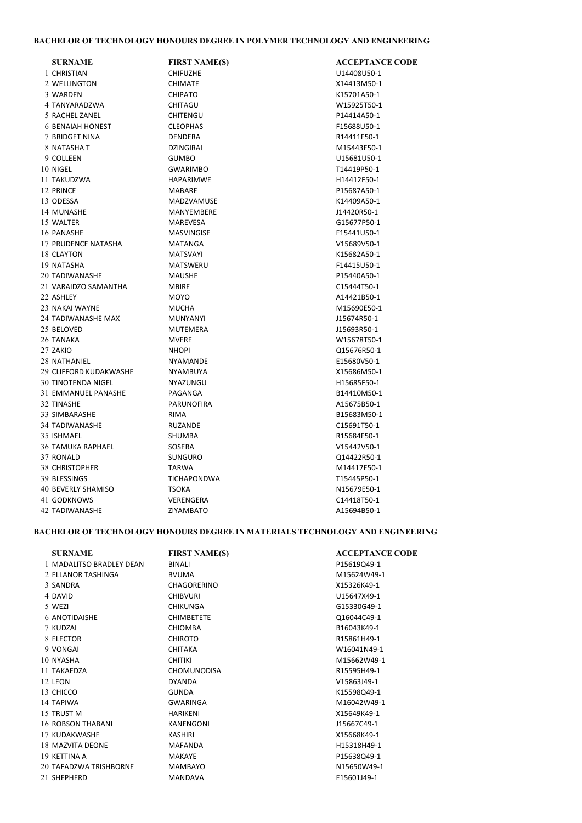## BACHELOR OF TECHNOLOGY HONOURS DEGREE IN POLYMER TECHNOLOGY AND ENGINEERING

| <b>SURNAME</b>            | <b>FIRST NAME(S)</b> | <b>ACCEPTANCE CODE</b> |
|---------------------------|----------------------|------------------------|
| 1 CHRISTIAN               | <b>CHIFUZHE</b>      | U14408U50-1            |
| 2 WELLINGTON              | <b>CHIMATE</b>       | X14413M50-1            |
| 3 WARDEN                  | <b>CHIPATO</b>       | K15701A50-1            |
| 4 TANYARADZWA             | CHITAGU              | W15925T50-1            |
| 5 RACHEL ZANEL            | <b>CHITENGU</b>      | P14414A50-1            |
| <b>6 BENAIAH HONEST</b>   | <b>CLEOPHAS</b>      | F15688U50-1            |
| 7 BRIDGET NINA            | <b>DENDERA</b>       | R14411F50-1            |
| 8 NATASHA T               | <b>DZINGIRAI</b>     | M15443E50-1            |
| 9 COLLEEN                 | <b>GUMBO</b>         | U15681U50-1            |
| 10 NIGEL                  | <b>GWARIMBO</b>      | T14419P50-1            |
| 11 TAKUDZWA               | HAPARIMWE            | H14412F50-1            |
| 12 PRINCE                 | <b>MABARE</b>        | P15687A50-1            |
| 13 ODESSA                 | <b>MADZVAMUSE</b>    | K14409A50-1            |
| 14 MUNASHE                | MANYEMBERE           | J14420R50-1            |
| 15 WALTER                 | <b>MAREVESA</b>      | G15677P50-1            |
| 16 PANASHE                | <b>MASVINGISE</b>    | F15441U50-1            |
| 17 PRUDENCE NATASHA       | <b>MATANGA</b>       | V15689V50-1            |
| 18 CLAYTON                | <b>MATSVAYI</b>      | K15682A50-1            |
| 19 NATASHA                | <b>MATSWERU</b>      | F14415U50-1            |
| 20 TADIWANASHE            | <b>MAUSHE</b>        | P15440A50-1            |
| 21 VARAIDZO SAMANTHA      | <b>MBIRE</b>         | C15444T50-1            |
| 22 ASHLEY                 | <b>MOYO</b>          | A14421B50-1            |
| 23 NAKAI WAYNE            | <b>MUCHA</b>         | M15690E50-1            |
| 24 TADIWANASHE MAX        | <b>MUNYANYI</b>      | J15674R50-1            |
| 25 BELOVED                | <b>MUTEMERA</b>      | J15693R50-1            |
| 26 TANAKA                 | <b>MVERE</b>         | W15678T50-1            |
| 27 ZAKIO                  | <b>NHOPI</b>         | Q15676R50-1            |
| 28 NATHANIEL              | <b>NYAMANDE</b>      | E15680V50-1            |
| 29 CLIFFORD KUDAKWASHE    | NYAMBUYA             | X15686M50-1            |
| <b>30 TINOTENDA NIGEL</b> | NYAZUNGU             | H15685F50-1            |
| 31 EMMANUEL PANASHE       | PAGANGA              | B14410M50-1            |
| 32 TINASHE                | <b>PARUNOFIRA</b>    | A15675B50-1            |
| 33 SIMBARASHE             | <b>RIMA</b>          | B15683M50-1            |
| 34 TADIWANASHE            | <b>RUZANDE</b>       | C15691T50-1            |
| 35 ISHMAEL                | SHUMBA               | R15684F50-1            |
| <b>36 TAMUKA RAPHAEL</b>  | SOSERA               | V15442V50-1            |
| 37 RONALD                 | <b>SUNGURO</b>       | Q14422R50-1            |
| 38 CHRISTOPHER            | <b>TARWA</b>         | M14417E50-1            |
| 39 BLESSINGS              | <b>TICHAPONDWA</b>   | T15445P50-1            |
| 40 BEVERLY SHAMISO        | <b>TSOKA</b>         | N15679E50-1            |
| 41 GODKNOWS               | VERENGERA            | C14418T50-1            |
| 42 TADIWANASHE            | <b>ZIYAMBATO</b>     | A15694B50-1            |

## BACHELOR OF TECHNOLOGY HONOURS DEGREE IN MATERIALS TECHNOLOGY AND ENGINEERING

| <b>SURNAME</b>           | <b>FIRST NAME(S)</b> | <b>ACCEPTANCE CODE</b> |
|--------------------------|----------------------|------------------------|
| 1 MADALITSO BRADLEY DEAN | <b>BINALI</b>        | P15619Q49-1            |
| 2 ELLANOR TASHINGA       | <b>BVUMA</b>         | M15624W49-1            |
| 3 SANDRA                 | CHAGORERINO          | X15326K49-1            |
| 4 DAVID                  | <b>CHIBVURI</b>      | U15647X49-1            |
| 5 WEZI                   | <b>CHIKUNGA</b>      | G15330G49-1            |
| <b>6 ANOTIDAISHE</b>     | <b>CHIMBETETE</b>    | Q16044C49-1            |
| 7 KUDZAI                 | <b>CHIOMBA</b>       | B16043K49-1            |
| 8 ELECTOR                | <b>CHIROTO</b>       | R15861H49-1            |
| 9 VONGAI                 | <b>CHITAKA</b>       | W16041N49-1            |
| 10 NYASHA                | <b>CHITIKI</b>       | M15662W49-1            |
| 11 TAKAFD7A              | <b>CHOMUNODISA</b>   | R15595H49-1            |
| 12 LEON                  | <b>DYANDA</b>        | V15863J49-1            |
| 13 CHICCO                | <b>GUNDA</b>         | K15598Q49-1            |
| 14 TAPIWA                | <b>GWARINGA</b>      | M16042W49-1            |
| 15 TRUST M               | <b>HARIKENI</b>      | X15649K49-1            |
| 16 ROBSON THABANI        | <b>KANENGONI</b>     | J15667C49-1            |
| 17 KUDAKWASHE            | <b>KASHIRI</b>       | X15668K49-1            |
| 18 MAZVITA DEONE         | <b>MAFANDA</b>       | H15318H49-1            |
| 19 KETTINA A             | <b>MAKAYE</b>        | P15638Q49-1            |
| 20 TAFADZWA TRISHBORNE   | MAMBAYO              | N15650W49-1            |
| 21 SHEPHERD              | <b>MANDAVA</b>       | E15601J49-1            |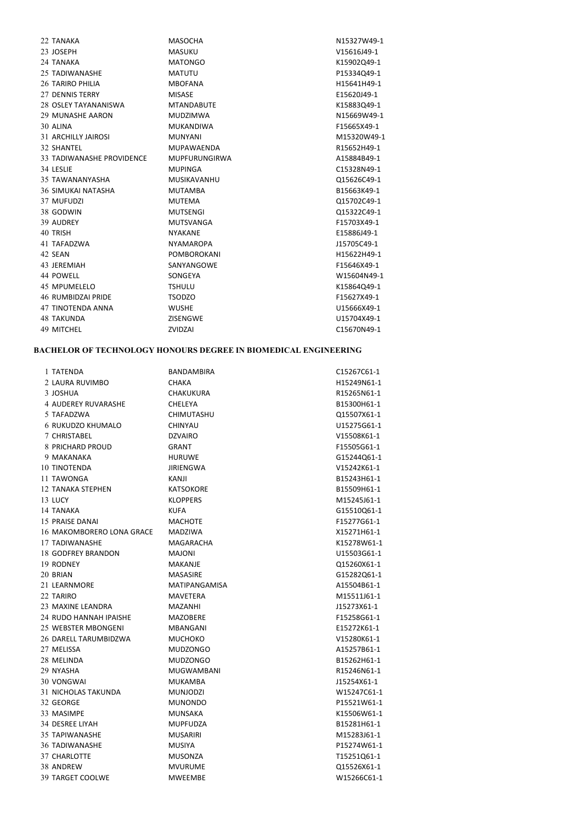| 22 TANAKA                 | <b>MASOCHA</b>       | N15327W49-1 |
|---------------------------|----------------------|-------------|
| 23 JOSEPH                 | <b>MASUKU</b>        | V15616J49-1 |
| 24 TANAKA                 | <b>MATONGO</b>       | K15902Q49-1 |
| 25 TADIWANASHE            | <b>MATUTU</b>        | P15334Q49-1 |
| 26 TARIRO PHILIA          | <b>MBOFANA</b>       | H15641H49-1 |
| 27 DENNIS TERRY           | <b>MISASE</b>        | E15620J49-1 |
| 28 OSLEY TAYANANISWA      | <b>MTANDABUTE</b>    | K15883Q49-1 |
| 29 MUNASHE AARON          | <b>MUDZIMWA</b>      | N15669W49-1 |
| 30 ALINA                  | <b>MUKANDIWA</b>     | F15665X49-1 |
| 31 ARCHILLY JAIROSI       | <b>MUNYANI</b>       | M15320W49-1 |
| 32 SHANTEL                | <b>MUPAWAENDA</b>    | R15652H49-1 |
| 33 TADIWANASHE PROVIDENCE | <b>MUPFURUNGIRWA</b> | A15884B49-1 |
| 34 LESLIE                 | <b>MUPINGA</b>       | C15328N49-1 |
| 35 TAWANANYASHA           | MUSIKAVANHU          | Q15626C49-1 |
| <b>36 SIMUKAI NATASHA</b> | <b>MUTAMBA</b>       | B15663K49-1 |
| 37 MUFUDZI                | <b>MUTEMA</b>        | Q15702C49-1 |
| 38 GODWIN                 | <b>MUTSENGI</b>      | Q15322C49-1 |
| 39 AUDREY                 | MUTSVANGA            | F15703X49-1 |
| 40 TRISH                  | <b>NYAKANE</b>       | E15886J49-1 |
| 41 TAFADZWA               | <b>NYAMAROPA</b>     | J15705C49-1 |
| 42 SEAN                   | <b>POMBOROKANI</b>   | H15622H49-1 |
| 43 JEREMIAH               | SANYANGOWE           | F15646X49-1 |
| 44 POWELL                 | SONGEYA              | W15604N49-1 |
| 45 MPUMELELO              | <b>TSHULU</b>        | K15864Q49-1 |
| 46 RUMBIDZAI PRIDE        | <b>TSODZO</b>        | F15627X49-1 |
| <b>47 TINOTENDA ANNA</b>  | <b>WUSHE</b>         | U15666X49-1 |
| <b>48 TAKUNDA</b>         | ZISENGWE             | U15704X49-1 |
| 49 MITCHEL                | ZVIDZAI              | C15670N49-1 |
|                           |                      |             |

# BACHELOR OF TECHNOLOGY HONOURS DEGREE IN BIOMEDICAL ENGINEERING

| 1 TATENDA                  | <b>BANDAMBIRA</b> | C15267C61-1 |
|----------------------------|-------------------|-------------|
| 2 LAURA RUVIMBO            | <b>CHAKA</b>      | H15249N61-1 |
| 3 JOSHUA                   | <b>CHAKUKURA</b>  | R15265N61-1 |
| 4 AUDEREY RUVARASHE        | <b>CHELEYA</b>    | B15300H61-1 |
| 5 TAFADZWA                 | <b>CHIMUTASHU</b> | Q15507X61-1 |
| <b>6 RUKUDZO KHUMALO</b>   | <b>CHINYAU</b>    | U15275G61-1 |
| 7 CHRISTABEL               | <b>DZVAIRO</b>    | V15508K61-1 |
| 8 PRICHARD PROUD           | <b>GRANT</b>      | F15505G61-1 |
| 9 MAKANAKA                 | <b>HURUWE</b>     | G15244Q61-1 |
| <b>10 TINOTENDA</b>        | <b>JIRIENGWA</b>  | V15242K61-1 |
| 11 TAWONGA                 | KANJI             | B15243H61-1 |
| <b>12 TANAKA STEPHEN</b>   | <b>KATSOKORE</b>  | B15509H61-1 |
| 13 LUCY                    | <b>KLOPPERS</b>   | M15245J61-1 |
| 14 TANAKA                  | <b>KUFA</b>       | G15510Q61-1 |
| 15 PRAISE DANAI            | <b>MACHOTE</b>    | F15277G61-1 |
| 16 MAKOMBORERO LONA GRACE  | <b>MADZIWA</b>    | X15271H61-1 |
| 17 TADIWANASHE             | MAGARACHA         | K15278W61-1 |
| <b>18 GODFREY BRANDON</b>  | <b>MAJONI</b>     | U15503G61-1 |
| 19 RODNEY                  | <b>MAKANJE</b>    | Q15260X61-1 |
| 20 BRIAN                   | <b>MASASIRE</b>   | G15282Q61-1 |
| 21 LEARNMORE               | MATIPANGAMISA     | A15504B61-1 |
| 22 TARIRO                  | <b>MAVETERA</b>   | M15511J61-1 |
| 23 MAXINE LEANDRA          | MAZANHI           | J15273X61-1 |
| 24 RUDO HANNAH IPAISHE     | <b>MAZOBERE</b>   | F15258G61-1 |
| 25 WEBSTER MBONGENI        | <b>MBANGANI</b>   | E15272K61-1 |
| 26 DARELL TARUMBIDZWA      | <b>MUCHOKO</b>    | V15280K61-1 |
| 27 MELISSA                 | <b>MUDZONGO</b>   | A15257B61-1 |
| 28 MELINDA                 | <b>MUDZONGO</b>   | B15262H61-1 |
| 29 NYASHA                  | <b>MUGWAMBANI</b> | R15246N61-1 |
| 30 VONGWAI                 | <b>MUKAMBA</b>    | J15254X61-1 |
| <b>31 NICHOLAS TAKUNDA</b> | <b>MUNJODZI</b>   | W15247C61-1 |
| 32 GEORGE                  | <b>MUNONDO</b>    | P15521W61-1 |
| 33 MASIMPE                 | <b>MUNSAKA</b>    | K15506W61-1 |
| 34 DESREE LIYAH            | <b>MUPFUDZA</b>   | B15281H61-1 |
| 35 TAPIWANASHE             | <b>MUSARIRI</b>   | M15283J61-1 |
| <b>36 TADIWANASHE</b>      | <b>MUSIYA</b>     | P15274W61-1 |
| 37 CHARLOTTE               | <b>MUSONZA</b>    | T15251Q61-1 |
| 38 ANDREW                  | <b>MVURUME</b>    | Q15526X61-1 |
| 39 TARGET COOLWE           | <b>MWEEMBE</b>    | W15266C61-1 |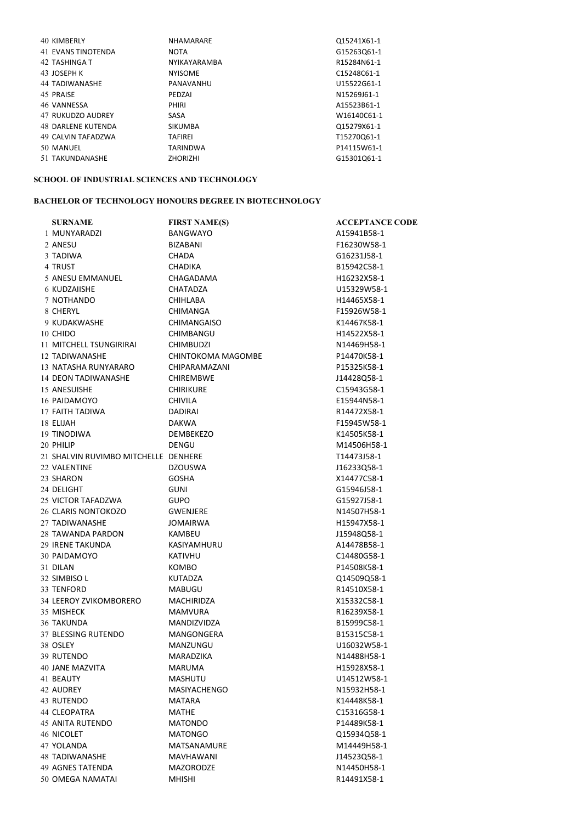| 40 KIMBERLY               | <b>NHAMARARE</b>    | Q15241X61-1 |
|---------------------------|---------------------|-------------|
| <b>41 EVANS TINOTENDA</b> | <b>NOTA</b>         | G15263Q61-1 |
| 42 TASHINGA T             | <b>NYIKAYARAMBA</b> | R15284N61-1 |
| 43 JOSEPH K               | <b>NYISOME</b>      | C15248C61-1 |
| 44 TADIWANASHE            | PANAVANHU           | U15522G61-1 |
| 45 PRAISE                 | PEDZAI              | N15269J61-1 |
| 46 VANNESSA               | PHIRI               | A15523B61-1 |
| 47 RUKUDZO AUDREY         | SASA                | W16140C61-1 |
| <b>48 DARLENE KUTENDA</b> | <b>SIKUMBA</b>      | Q15279X61-1 |
| 49 CALVIN TAFADZWA        | <b>TAFIREI</b>      | T15270Q61-1 |
| 50 MANUEL                 | <b>TARINDWA</b>     | P14115W61-1 |
| 51 TAKUNDANASHE           | <b>ZHORIZHI</b>     | G15301Q61-1 |
|                           |                     |             |

## SCHOOL OF INDUSTRIAL SCIENCES AND TECHNOLOGY

## BACHELOR OF TECHNOLOGY HONOURS DEGREE IN BIOTECHNOLOGY

| <b>SURNAME</b>                       | <b>FIRST NAME(S)</b> | <b>ACCEPTANCE CODE</b> |
|--------------------------------------|----------------------|------------------------|
| 1 MUNYARADZI                         | <b>BANGWAYO</b>      | A15941B58-1            |
| 2 ANESU                              | BIZABANI             | F16230W58-1            |
| 3 TADIWA                             | <b>CHADA</b>         | G16231J58-1            |
| 4 TRUST                              | <b>CHADIKA</b>       | B15942C58-1            |
| 5 ANESU EMMANUEL                     | CHAGADAMA            | H16232X58-1            |
| 6 KUDZAIISHE                         | CHATADZA             | U15329W58-1            |
| 7 NOTHANDO                           | <b>CHIHLABA</b>      | H14465X58-1            |
| 8 CHERYL                             | CHIMANGA             | F15926W58-1            |
| 9 KUDAKWASHE                         | <b>CHIMANGAISO</b>   | K14467K58-1            |
| 10 CHIDO                             | CHIMBANGU            | H14522X58-1            |
| 11 MITCHELL TSUNGIRIRAI              | <b>CHIMBUDZI</b>     | N14469H58-1            |
| 12 TADIWANASHE                       | CHINTOKOMA MAGOMBE   | P14470K58-1            |
| 13 NATASHA RUNYARARO                 | CHIPARAMAZANI        | P15325K58-1            |
| 14 DEON TADIWANASHE                  | <b>CHIREMBWE</b>     | J14428Q58-1            |
| 15 ANESUISHE                         | <b>CHIRIKURE</b>     | C15943G58-1            |
| 16 PAIDAMOYO                         | <b>CHIVILA</b>       | E15944N58-1            |
| 17 FAITH TADIWA                      | <b>DADIRAI</b>       | R14472X58-1            |
| 18 ELIJAH                            | <b>DAKWA</b>         | F15945W58-1            |
| 19 TINODIWA                          | <b>DEMBEKEZO</b>     | K14505K58-1            |
| 20 PHILIP                            | DENGU                | M14506H58-1            |
| 21 SHALVIN RUVIMBO MITCHELLE DENHERE |                      | T14473J58-1            |
| 22 VALENTINE                         | <b>DZOUSWA</b>       | J16233Q58-1            |
| 23 SHARON                            | <b>GOSHA</b>         | X14477C58-1            |
| 24 DELIGHT                           | <b>GUNI</b>          | G15946J58-1            |
| 25 VICTOR TAFADZWA                   | <b>GUPO</b>          | G15927J58-1            |
| 26 CLARIS NONTOKOZO                  | <b>GWENJERE</b>      | N14507H58-1            |
| 27 TADIWANASHE                       | JOMAIRWA             | H15947X58-1            |
| 28 TAWANDA PARDON                    | <b>KAMBEU</b>        | J15948Q58-1            |
| 29 IRENE TAKUNDA                     | KASIYAMHURU          | A14478B58-1            |
| 30 PAIDAMOYO                         | <b>KATIVHU</b>       | C14480G58-1            |
| 31 DILAN                             | KOMBO                | P14508K58-1            |
| 32 SIMBISO L                         | KUTADZA              | Q14509Q58-1            |
| 33 TENFORD                           | MABUGU               | R14510X58-1            |
| 34 LEEROY ZVIKOMBORERO               | MACHIRIDZA           | X15332C58-1            |
| 35 MISHECK                           | <b>MAMVURA</b>       | R16239X58-1            |
| <b>36 TAKUNDA</b>                    | <b>MANDIZVIDZA</b>   | B15999C58-1            |
| 37 BLESSING RUTENDO                  | MANGONGERA           | B15315C58-1            |
| 38 OSLEY                             | MANZUNGU             | U16032W58-1            |
| 39 RUTENDO                           | MARADZIKA            | N14488H58-1            |
| 40 JANE MAZVITA                      | MARUMA               | H15928X58-1            |
| 41 BEAUTY                            | MASHUTU              | U14512W58-1            |
| 42 AUDREY                            | <b>MASIYACHENGO</b>  | N15932H58-1            |
| 43 RUTENDO                           | MATARA               | K14448K58-1            |
| 44 CLEOPATRA                         | MATHE                | C15316G58-1            |
| 45 ANITA RUTENDO                     | <b>MATONDO</b>       | P14489K58-1            |
| 46 NICOLET                           | <b>MATONGO</b>       | Q15934Q58-1            |
| 47 YOLANDA                           | MATSANAMURE          | M14449H58-1            |
| 48 TADIWANASHE                       | MAVHAWANI            | J14523Q58-1            |
| 49 AGNES TATENDA                     | <b>MAZORODZE</b>     | N14450H58-1            |
| 50 OMEGA NAMATAI                     | <b>MHISHI</b>        | R14491X58-1            |
|                                      |                      |                        |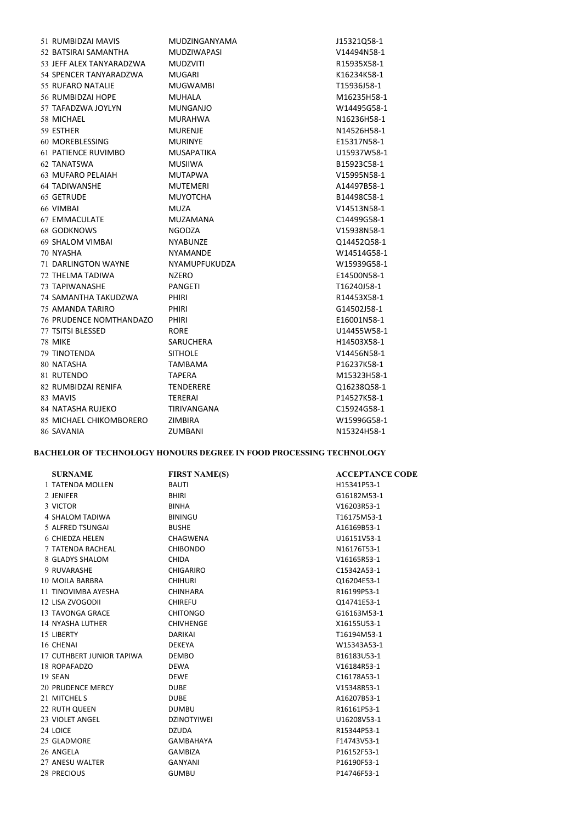|            | 51 RUMBIDZAI MAVIS             | MUDZINGANYAMA      | J15321Q58-1 |
|------------|--------------------------------|--------------------|-------------|
|            | 52 BATSIRAI SAMANTHA           | <b>MUDZIWAPASI</b> | V14494N58-1 |
|            | 53 JEFF ALEX TANYARADZWA       | <b>MUDZVITI</b>    | R15935X58-1 |
|            | 54 SPENCER TANYARADZWA         | <b>MUGARI</b>      | K16234K58-1 |
|            | 55 RUFARO NATALIE              | <b>MUGWAMBI</b>    | T15936J58-1 |
|            | 56 RUMBIDZAI HOPE              | <b>MUHALA</b>      | M16235H58-1 |
|            | 57 TAFADZWA JOYLYN             | <b>MUNGANJO</b>    | W14495G58-1 |
|            | 58 MICHAEL                     | <b>MURAHWA</b>     | N16236H58-1 |
| 59 ESTHER  |                                | <b>MURENJE</b>     | N14526H58-1 |
|            | 60 MOREBLESSING                | <b>MURINYE</b>     | E15317N58-1 |
|            | <b>61 PATIENCE RUVIMBO</b>     | <b>MUSAPATIKA</b>  | U15937W58-1 |
|            | 62 TANATSWA                    | <b>MUSIIWA</b>     | B15923C58-1 |
|            | 63 MUFARO PELAIAH              | <b>MUTAPWA</b>     | V15995N58-1 |
|            | <b>64 TADIWANSHE</b>           | <b>MUTEMERI</b>    | A14497B58-1 |
|            | 65 GETRUDE                     | <b>MUYOTCHA</b>    | B14498C58-1 |
| 66 VIMBAI  |                                | <b>MUZA</b>        | V14513N58-1 |
|            | 67 EMMACULATE                  | MUZAMANA           | C14499G58-1 |
|            | 68 GODKNOWS                    | <b>NGODZA</b>      | V15938N58-1 |
|            | 69 SHALOM VIMBAI               | <b>NYABUNZE</b>    | 014452058-1 |
| 70 NYASHA  |                                | <b>NYAMANDE</b>    | W14514G58-1 |
|            | <b>71 DARLINGTON WAYNE</b>     | NYAMUPFUKUDZA      | W15939G58-1 |
|            | 72 THELMA TADIWA               | NZERO              | E14500N58-1 |
|            | 73 TAPIWANASHE                 | PANGETI            | T16240J58-1 |
|            | 74 SAMANTHA TAKUDZWA           | <b>PHIRI</b>       | R14453X58-1 |
|            | <b>75 AMANDA TARIRO</b>        | <b>PHIRI</b>       | G14502J58-1 |
|            | <b>76 PRUDENCE NOMTHANDAZO</b> | <b>PHIRI</b>       | E16001N58-1 |
|            | 77 TSITSI BLESSED              | <b>RORE</b>        | U14455W58-1 |
| 78 MIKE    |                                | SARUCHERA          | H14503X58-1 |
|            | 79 TINOTENDA                   | <b>SITHOLE</b>     | V14456N58-1 |
|            | 80 NATASHA                     | <b>TAMBAMA</b>     | P16237K58-1 |
|            | 81 RUTENDO                     | <b>TAPERA</b>      | M15323H58-1 |
|            | 82 RUMBIDZAI RENIFA            | <b>TENDERERE</b>   | Q16238Q58-1 |
| 83 MAVIS   |                                | TERERAI            | P14527K58-1 |
|            | 84 NATASHA RUJEKO              | TIRIVANGANA        | C15924G58-1 |
|            | 85 MICHAEL CHIKOMBORERO        | ZIMBIRA            | W15996G58-1 |
| 86 SAVANIA |                                | ZUMBANI            | N15324H58-1 |

## BACHELOR OF TECHNOLOGY HONOURS DEGREE IN FOOD PROCESSING TECHNOLOGY

| <b>SURNAME</b>            | <b>FIRST NAME(S)</b> | <b>ACCEPTANCE CODE</b> |
|---------------------------|----------------------|------------------------|
| 1 TATENDA MOLLEN          | <b>BAUTI</b>         | H15341P53-1            |
| 2 JENIFER                 | <b>BHIRI</b>         | G16182M53-1            |
| 3 VICTOR                  | <b>BINHA</b>         | V16203R53-1            |
| 4 SHALOM TADIWA           | <b>BININGU</b>       | T16175M53-1            |
| 5 ALFRED TSUNGAL          | <b>BUSHE</b>         | A16169B53-1            |
| 6 CHIEDZA HELEN           | <b>CHAGWENA</b>      | U16151V53-1            |
| 7 TATENDA RACHEAL         | <b>CHIBONDO</b>      | N16176T53-1            |
| 8 GLADYS SHALOM           | <b>CHIDA</b>         | V16165R53-1            |
| 9 RUVARASHE               | <b>CHIGARIRO</b>     | C15342A53-1            |
| 10 MOILA BARBRA           | <b>CHIHURI</b>       | Q16204E53-1            |
| 11 TINOVIMBA AYESHA       | <b>CHINHARA</b>      | R16199P53-1            |
| 12 LISA ZVOGODII          | <b>CHIREFU</b>       | Q14741E53-1            |
| 13 TAVONGA GRACE          | <b>CHITONGO</b>      | G16163M53-1            |
| 14 NYASHA LUTHER          | <b>CHIVHENGE</b>     | X16155U53-1            |
| 15 LIBERTY                | <b>DARIKAI</b>       | T16194M53-1            |
| 16 CHENAI                 | DEKEYA               | W15343A53-1            |
| 17 CUTHBERT JUNIOR TAPIWA | <b>DEMBO</b>         | B16183U53-1            |
| 18 ROPAFADZO              | <b>DEWA</b>          | V16184R53-1            |
| 19 SEAN                   | <b>DEWE</b>          | C16178A53-1            |
| 20 PRUDENCE MERCY         | <b>DUBE</b>          | V15348R53-1            |
| 21 MITCHEL S              | <b>DUBE</b>          | A16207B53-1            |
| 22 RUTH QUEEN             | <b>DUMBU</b>         | R16161P53-1            |
| 23 VIOLET ANGEL           | <b>DZINOTYIWEI</b>   | U16208V53-1            |
| 24 LOICE                  | <b>DZUDA</b>         | R15344P53-1            |
| 25 GLADMORE               | GAMBAHAYA            | F14743V53-1            |
| 26 ANGELA                 | <b>GAMBIZA</b>       | P16152F53-1            |
| 27 ANESU WALTER           | <b>GANYANI</b>       | P16190F53-1            |
| 28 PRECIOUS               | <b>GUMBU</b>         | P14746F53-1            |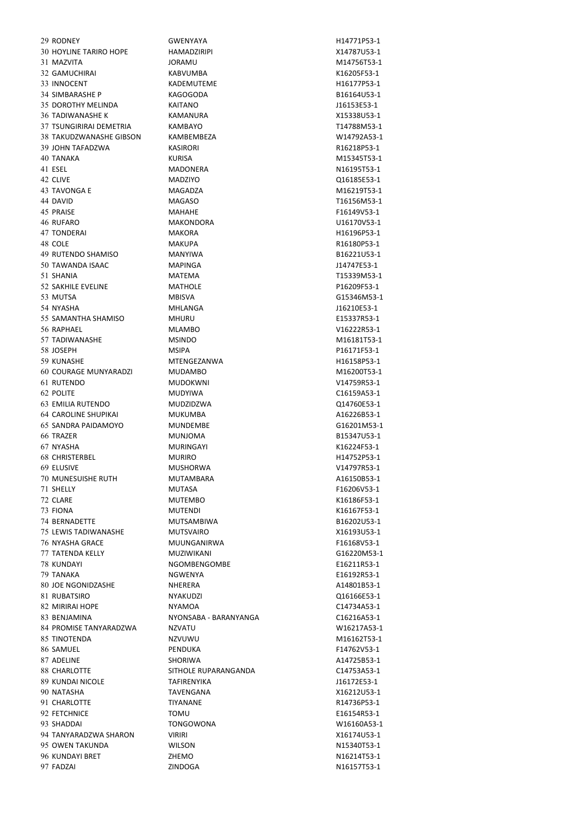FADZAI ZINDOGA N16157T53-1

29 RODNEY GWENYAYA GWENYAYA H14771P53-1 HOYLINE TARIRO HOPE HAMADZIRIPI X14787U53-1 MAZVITA JORAMU M14756T53-1 GAMUCHIRAI KABVUMBA K16205F53-1 33 INNOCENT KADEMUTEME KADEMUTEME H16177P53-1 SIMBARASHE P KAGOGODA B16164U53-1 DOROTHY MELINDA KAITANO J16153E53-1 TADIWANASHE K KAMANURA X15338U53-1 TSUNGIRIRAI DEMETRIA KAMBAYO T14788M53-1 TAKUDZWANASHE GIBSON KAMBEMBEZA W14792A53-1 JOHN TAFADZWA KASIRORI R16218P53-1 TANAKA KURISA M15345T53-1 ESEL MADONERA N16195T53-1 CLIVE MADZIYO Q16185E53-1 TAVONGA E MAGADZA M16219T53-1 DAVID MAGASO T16156M53-1 45 PRAISE **MAHAHE MAHAHE F16149V53-1**  RUFARO MAKONDORA U16170V53-1 47 TONDERAI MAKORA MAKORA H16196P53-1 48 COLE **MAKUPA** MAKUPA R16180P53-1 RUTENDO SHAMISO MANYIWA B16221U53-1 TAWANDA ISAAC MAPINGA J14747E53-1 SHANIA MATEMA T15339M53-1 SAKHILE EVELINE MATHOLE P16209F53-1 MUTSA MBISVA G15346M53-1 NYASHA MHLANGA J16210E53-1 SAMANTHA SHAMISO MHURU E15337R53-1 RAPHAEL MLAMBO V16222R53-1 TADIWANASHE MSINDO M16181T53-1 JOSEPH MSIPA P16171F53-1 KUNASHE MTENGEZANWA H16158P53-1 COURAGE MUNYARADZI MUDAMBO M16200T53-1 RUTENDO MUDOKWNI V14759R53-1 POLITE MUDYIWA C16159A53-1 EMILIA RUTENDO MUDZIDZWA Q14760E53-1 64 CAROLINE SHUPIKAI MUKUMBA A16226B53-1 SANDRA PAIDAMOYO MUNDEMBE G16201M53-1 TRAZER MUNJOMA B15347U53-1 NYASHA MURINGAYI K16224F53-1 CHRISTERBEL MURIRO H14752P53-1 ELUSIVE MUSHORWA V14797R53-1 MUNESUISHE RUTH MUTAMBARA A16150B53-1 SHELLY MUTASA F16206V53-1 CLARE MUTEMBO K16186F53-1 FIONA MUTENDI K16167F53-1 BERNADETTE MUTSAMBIWA B16202U53-1 LEWIS TADIWANASHE MUTSVAIRO X16193U53-1 NYASHA GRACE MUUNGANIRWA F16168V53-1 TATENDA KELLY MUZIWIKANI G16220M53-1 KUNDAYI NGOMBENGOMBE E16211R53-1 TANAKA NGWENYA E16192R53-1 80 IOE NGONIDZASHE NHERERA A14801B53-1 RUBATSIRO NYAKUDZI Q16166E53-1 MIRIRAI HOPE NYAMOA C14734A53-1 BENJAMINA NYONSABA - BARANYANGA C16216A53-1 84 PROMISE TANYARADZWA NZVATU NZVATU W16217A53-1 TINOTENDA NZVUWU M16162T53-1 SAMUEL PENDUKA F14762V53-1 87 ADELINE SHORIWA SHORIWA A14725B53-1 88 CHARLOTTE SITHOLE RUPARANGANDA C14753A53-1 KUNDAI NICOLE TAFIRENYIKA J16172E53-1 NATASHA TAVENGANA X16212U53-1 CHARLOTTE TIYANANE R14736P53-1 FETCHNICE TOMU E16154R53-1 SHADDAI TONGOWONA W16160A53-1 TANYARADZWA SHARON VIRIRI X16174U53-1 OWEN TAKUNDA WILSON N15340T53-1 KUNDAYI BRET ZHEMO N16214T53-1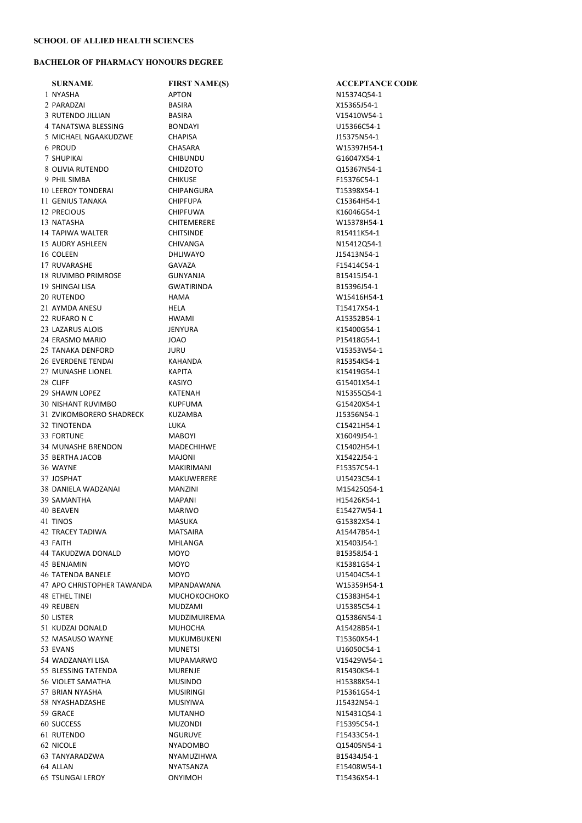## BACHELOR OF PHARMACY HONOURS DEGREE

| <b>SURNAME</b>             | <b>FIRST NAME(S)</b> | <b>ACCEPTANCE CODE</b> |
|----------------------------|----------------------|------------------------|
| 1 NYASHA                   | <b>APTON</b>         | N15374Q54-1            |
| 2 PARADZAI                 | <b>BASIRA</b>        | X15365J54-1            |
| 3 RUTENDO JILLIAN          | <b>BASIRA</b>        | V15410W54-1            |
| 4 TANATSWA BLESSING        | <b>BONDAYI</b>       | U15366C54-1            |
| 5 MICHAEL NGAAKUDZWE       | <b>CHAPISA</b>       | J15375N54-1            |
| 6 PROUD                    | CHASARA              | W15397H54-1            |
| 7 SHUPIKAI                 | <b>CHIBUNDU</b>      | G16047X54-1            |
| 8 OLIVIA RUTENDO           | <b>CHIDZOTO</b>      | Q15367N54-1            |
| 9 PHIL SIMBA               | <b>CHIKUSE</b>       | F15376C54-1            |
| <b>10 LEEROY TONDERAI</b>  | CHIPANGURA           | T15398X54-1            |
| 11 GENIUS TANAKA           | <b>CHIPFUPA</b>      | C15364H54-1            |
| 12 PRECIOUS                | <b>CHIPFUWA</b>      | K16046G54-1            |
| 13 NATASHA                 | <b>CHITEMERERE</b>   | W15378H54-1            |
| 14 TAPIWA WALTER           | <b>CHITSINDE</b>     | R15411K54-1            |
| 15 AUDRY ASHLEEN           | <b>CHIVANGA</b>      | N15412Q54-1            |
| 16 COLEEN                  | <b>DHLIWAYO</b>      | J15413N54-1            |
| 17 RUVARASHE               | <b>GAVAZA</b>        | F15414C54-1            |
| 18 RUVIMBO PRIMROSE        | <b>GUNYANJA</b>      | B15415J54-1            |
| 19 SHINGAI LISA            | <b>GWATIRINDA</b>    | B15396J54-1            |
| 20 RUTENDO                 | HAMA                 | W15416H54-1            |
| 21 AYMDA ANESU             | HELA                 | T15417X54-1            |
| 22 RUFARO N C              |                      |                        |
|                            | <b>HWAMI</b>         | A15352B54-1            |
| 23 LAZARUS ALOIS           | JENYURA              | K15400G54-1            |
| 24 ERASMO MARIO            | JOAO                 | P15418G54-1            |
| 25 TANAKA DENFORD          | JURU                 | V15353W54-1            |
| 26 EVERDENE TENDAI         | KAHANDA              | R15354K54-1            |
| 27 MUNASHE LIONEL          | KAPITA               | K15419G54-1            |
| 28 CLIFF                   | <b>KASIYO</b>        | G15401X54-1            |
| 29 SHAWN LOPEZ             | KATENAH              | N15355Q54-1            |
| 30 NISHANT RUVIMBO         | <b>KUPFUMA</b>       | G15420X54-1            |
| 31 ZVIKOMBORERO SHADRECK   | KUZAMBA              | J15356N54-1            |
| 32 TINOTENDA               | LUKA                 | C15421H54-1            |
| 33 FORTUNE                 | <b>MABOYI</b>        | X16049J54-1            |
| 34 MUNASHE BRENDON         | MADECHIHWE           | C15402H54-1            |
| 35 BERTHA JACOB            | MAJONI               | X15422J54-1            |
| 36 WAYNE                   | MAKIRIMANI           | F15357C54-1            |
| 37 JOSPHAT                 | MAKUWERERE           | U15423C54-1            |
| 38 DANIELA WADZANAI        | <b>MANZINI</b>       | M15425Q54-1            |
| 39 SAMANTHA                | <b>MAPANI</b>        | H15426K54-1            |
| 40 BEAVEN                  | <b>MARIWO</b>        | E15427W54-1            |
| 41 TINOS                   | MASUKA               | G15382X54-1            |
| 42 TRACEY TADIWA           | MATSAIRA             | A15447B54-1            |
| 43 FAITH                   | MHLANGA              | X15403J54-1            |
| 44 TAKUDZWA DONALD         | MOYO                 | B15358J54-1            |
| 45 BENJAMIN                | MOYO                 | K15381G54-1            |
| <b>46 TATENDA BANELE</b>   | <b>MOYO</b>          | U15404C54-1            |
| 47 APO CHRISTOPHER TAWANDA | MPANDAWANA           | W15359H54-1            |
| 48 ETHEL TINEI             | <b>МИСНОКОСНОКО</b>  | C15383H54-1            |
| 49 REUBEN                  | MUDZAMI              | U15385C54-1            |
| 50 LISTER                  | <b>MUDZIMUIREMA</b>  | Q15386N54-1            |
| 51 KUDZAI DONALD           | MUHOCHA              | A15428B54-1            |
| 52 MASAUSO WAYNE           | MUKUMBUKENI          | T15360X54-1            |
| 53 EVANS                   | MUNETSI              | U16050C54-1            |
| 54 WADZANAYI LISA          | MUPAMARWO            | V15429W54-1            |
| 55 BLESSING TATENDA        | <b>MURENJE</b>       | R15430K54-1            |
| 56 VIOLET SAMATHA          | <b>MUSINDO</b>       | H15388K54-1            |
| 57 BRIAN NYASHA            | MUSIRINGI            | P15361G54-1            |
| 58 NYASHADZASHE            | <b>MUSIYIWA</b>      | J15432N54-1            |
| 59 GRACE                   | MUTANHO              | N15431Q54-1            |
| 60 SUCCESS                 | MUZONDI              | F15395C54-1            |
| 61 RUTENDO                 | <b>NGURUVE</b>       | F15433C54-1            |
| 62 NICOLE                  | NYADOMBO             | Q15405N54-1            |
| 63 TANYARADZWA             | NYAMUZIHWA           | B15434J54-1            |
| 64 ALLAN                   | NYATSANZA            | E15408W54-1            |
| <b>65 TSUNGAI LEROY</b>    | ONYIMOH              | T15436X54-1            |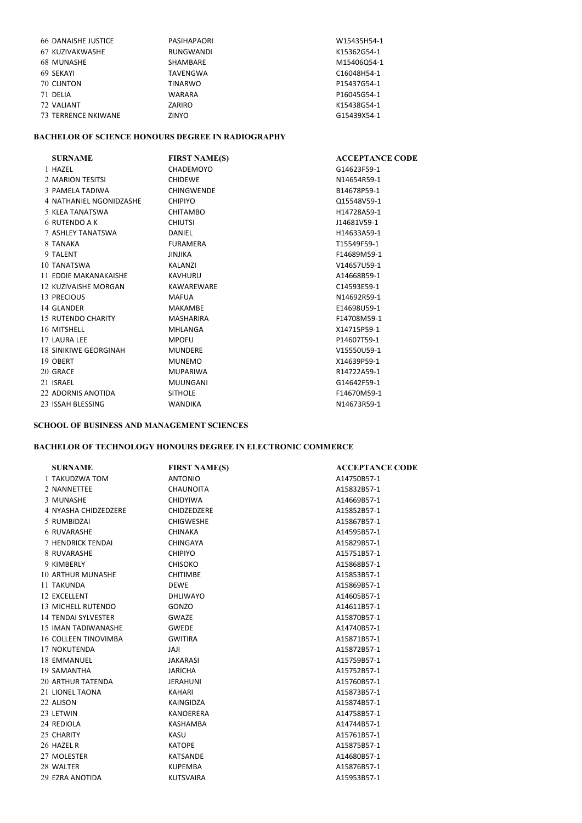| <b>66 DANAISHE JUSTICE</b> | PASIHAPAORI    | W15435H54-1                          |
|----------------------------|----------------|--------------------------------------|
| 67 KUZIVAKWASHE            | RUNGWANDI      | K15362G54-1                          |
| 68 MUNASHE                 | SHAMBARE       | M15406Q54-1                          |
| 69 SEKAYI                  | TAVENGWA       | C <sub>16048</sub> H <sub>54-1</sub> |
| 70 CLINTON                 | <b>TINARWO</b> | P15437G54-1                          |
| 71 DELIA                   | <b>WARARA</b>  | P16045G54-1                          |
| 72 VALIANT                 | ZARIRO         | K15438G54-1                          |
| 73 TERRENCE NKIWANE        | ZINYO          | G15439X54-1                          |

## BACHELOR OF SCIENCE HONOURS DEGREE IN RADIOGRAPHY

| <b>SURNAME</b>               | <b>FIRST NAME(S)</b> | <b>ACCEPTANCE CODE</b> |
|------------------------------|----------------------|------------------------|
| 1 HAZEL                      | CHADEMOYO            | G14623F59-1            |
| 2 MARION TESITSI             | <b>CHIDEWE</b>       | N14654R59-1            |
| 3 PAMELA TADIWA              | <b>CHINGWENDE</b>    | B14678P59-1            |
| 4 NATHANIEL NGONIDZASHE      | <b>CHIPIYO</b>       | Q15548V59-1            |
| 5 KLEA TANATSWA              | CHITAMBO             | H14728A59-1            |
| 6 RUTENDO A K                | <b>CHIUTSI</b>       | J14681V59-1            |
| 7 ASHLEY TANATSWA            | DANIEL               | H14633A59-1            |
| 8 TANAKA                     | FURAMERA             | T15549F59-1            |
| 9 TALENT                     | <b>JINJIKA</b>       | F14689M59-1            |
| 10 TANATSWA                  | <b>KALANZI</b>       | V14657U59-1            |
| 11 EDDIE MAKANAKAISHE        | KAVHURU              | A14668B59-1            |
| 12 KUZIVAISHE MORGAN         | KAWAREWARE           | C14593E59-1            |
| 13 PRECIOUS                  | <b>MAFUA</b>         | N14692R59-1            |
| 14 GLANDER                   | MAKAMBE              | E14698U59-1            |
| 15 RUTENDO CHARITY           | MASHARIRA            | F14708M59-1            |
| 16 MITSHELL                  | MHLANGA              | X14715P59-1            |
| 17 LAURA LEE                 | <b>MPOFU</b>         | P14607T59-1            |
| <b>18 SINIKIWE GEORGINAH</b> | <b>MUNDERE</b>       | V15550U59-1            |
| 19 OBERT                     | <b>MUNEMO</b>        | X14639P59-1            |
| 20 GRACE                     | <b>MUPARIWA</b>      | R14722A59-1            |
| 21 ISRAEL                    | <b>MUUNGANI</b>      | G14642F59-1            |
| 22 ADORNIS ANOTIDA           | <b>SITHOLE</b>       | F14670M59-1            |
| 23 ISSAH BLESSING            | <b>WANDIKA</b>       | N14673R59-1            |

## SCHOOL OF BUSINESS AND MANAGEMENT SCIENCES

## BACHELOR OF TECHNOLOGY HONOURS DEGREE IN ELECTRONIC COMMERCE

| <b>SURNAME</b>           | <b>FIRST NAME(S)</b> | <b>ACCEPTANCE CODE</b> |
|--------------------------|----------------------|------------------------|
| 1 TAKUDZWA TOM           | <b>ANTONIO</b>       | A14750B57-1            |
| 2 NANNETTEE              | <b>CHAUNOITA</b>     | A15832B57-1            |
| 3 MUNASHE                | <b>CHIDYIWA</b>      | A14669B57-1            |
| 4 NYASHA CHIDZEDZERE     | CHIDZEDZERE          | A15852B57-1            |
| 5 RUMBIDZAI              | <b>CHIGWESHE</b>     | A15867B57-1            |
| <b>6 RUVARASHE</b>       | <b>CHINAKA</b>       | A14595B57-1            |
| 7 HENDRICK TENDAI        | <b>CHINGAYA</b>      | A15829B57-1            |
| 8 RUVARASHE              | <b>CHIPIYO</b>       | A15751B57-1            |
| 9 KIMBERLY               | <b>CHISOKO</b>       | A15868B57-1            |
| <b>10 ARTHUR MUNASHE</b> | <b>CHITIMBE</b>      | A15853B57-1            |
| 11 TAKUNDA               | <b>DEWE</b>          | A15869B57-1            |
| 12 EXCELLENT             | <b>DHLIWAYO</b>      | A14605B57-1            |
| 13 MICHELL RUTENDO       | GONZO                | A14611B57-1            |
| 14 TENDAI SYLVESTER      | <b>GWAZE</b>         | A15870B57-1            |
| 15 IMAN TADIWANASHE      | <b>GWEDE</b>         | A14740B57-1            |
| 16 COLLEEN TINOVIMBA     | <b>GWITIRA</b>       | A15871B57-1            |
| 17 NOKUTENDA             | <b>ILAL</b>          | A15872B57-1            |
| 18 EMMANUEL              | <b>JAKARASI</b>      | A15759B57-1            |
| 19 SAMANTHA              | <b>JARICHA</b>       | A15752B57-1            |
| 20 ARTHUR TATENDA        | <b>JERAHUNI</b>      | A15760B57-1            |
| 21 LIONEL TAONA          | <b>KAHARI</b>        | A15873B57-1            |
| 22 ALISON                | KAINGIDZA            | A15874B57-1            |
| 23 LETWIN                | <b>KANOERERA</b>     | A14758B57-1            |
| 24 REDIOLA               | KASHAMBA             | A14744B57-1            |
| 25 CHARITY               | KASU                 | A15761B57-1            |
| 26 HAZEL R               | <b>KATOPE</b>        | A15875B57-1            |
| 27 MOLESTER              | <b>KATSANDE</b>      | A14680B57-1            |
| 28 WALTER                | <b>KUPEMBA</b>       | A15876B57-1            |
| 29 EZRA ANOTIDA          | <b>KUTSVAIRA</b>     | A15953B57-1            |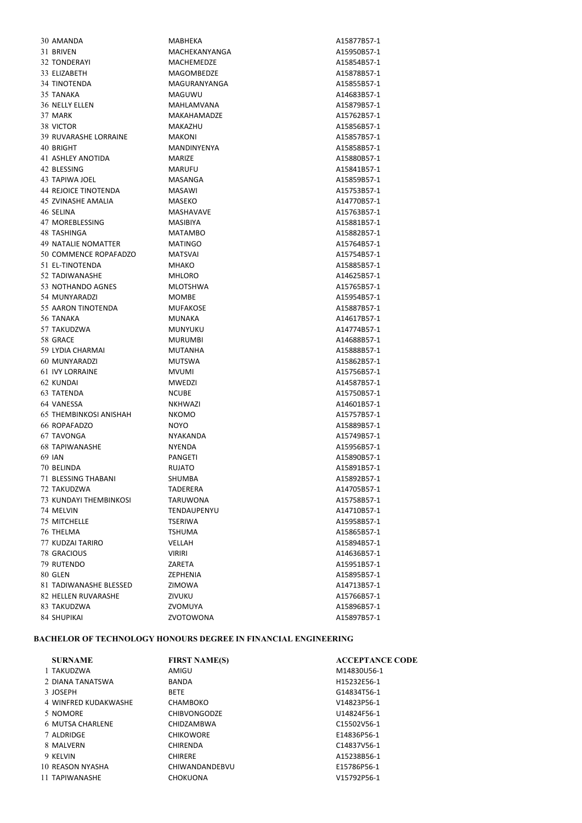| 30 AMANDA                     | MABHEKA            | A15877B57-1 |
|-------------------------------|--------------------|-------------|
| 31 BRIVEN                     | MACHEKANYANGA      | A15950B57-1 |
| <b>32 TONDERAYI</b>           | <b>MACHEMEDZE</b>  | A15854B57-1 |
| 33 ELIZABETH                  | MAGOMBEDZE         | A15878B57-1 |
| 34 TINOTENDA                  | MAGURANYANGA       | A15855B57-1 |
| 35 TANAKA                     | MAGUWU             | A14683B57-1 |
| <b>36 NELLY ELLEN</b>         | <b>MAHLAMVANA</b>  | A15879B57-1 |
| 37 MARK                       | <b>MAKAHAMADZE</b> | A15762B57-1 |
| 38 VICTOR                     | MAKAZHU            | A15856B57-1 |
| 39 RUVARASHE LORRAINE         | <b>MAKONI</b>      | A15857B57-1 |
| 40 BRIGHT                     | <b>MANDINYENYA</b> | A15858B57-1 |
| 41 ASHLEY ANOTIDA             | <b>MARIZE</b>      | A15880B57-1 |
| 42 BLESSING                   | <b>MARUFU</b>      | A15841B57-1 |
| 43 TAPIWA JOEL                | MASANGA            | A15859B57-1 |
| <b>44 REJOICE TINOTENDA</b>   | MASAWI             | A15753B57-1 |
| 45 ZVINASHE AMALIA            | MASEKO             |             |
|                               |                    | A14770B57-1 |
| 46 SELINA                     | <b>MASHAVAVE</b>   | A15763B57-1 |
| 47 MOREBLESSING               | <b>MASIBIYA</b>    | A15881B57-1 |
| 48 TASHINGA                   | <b>MATAMBO</b>     | A15882B57-1 |
| 49 NATALIE NOMATTER           | <b>MATINGO</b>     | A15764B57-1 |
| 50 COMMENCE ROPAFADZO         | <b>MATSVAI</b>     | A15754B57-1 |
| 51 EL-TINOTENDA               | <b>MHAKO</b>       | A15885B57-1 |
| 52 TADIWANASHE                | <b>MHLORO</b>      | A14625B57-1 |
| 53 NOTHANDO AGNES             | <b>MLOTSHWA</b>    | A15765B57-1 |
| 54 MUNYARADZI                 | MOMBE              | A15954B57-1 |
| 55 AARON TINOTENDA            | <b>MUFAKOSE</b>    | A15887B57-1 |
| 56 TANAKA                     | <b>MUNAKA</b>      | A14617B57-1 |
| 57 TAKUDZWA                   | MUNYUKU            | A14774B57-1 |
| 58 GRACE                      | <b>MURUMBI</b>     | A14688B57-1 |
| 59 LYDIA CHARMAI              | <b>MUTANHA</b>     | A15888B57-1 |
| 60 MUNYARADZI                 | <b>MUTSWA</b>      | A15862B57-1 |
| 61 IVY LORRAINE               | <b>MVUMI</b>       | A15756B57-1 |
| 62 KUNDAI                     | <b>MWEDZI</b>      | A14587B57-1 |
| 63 TATENDA                    | <b>NCUBE</b>       | A15750B57-1 |
| 64 VANESSA                    | <b>NKHWAZI</b>     | A14601B57-1 |
| <b>65 THEMBINKOSI ANISHAH</b> | NKOMO              | A15757B57-1 |
| 66 ROPAFADZO                  | <b>NOYO</b>        | A15889B57-1 |
| 67 TAVONGA                    | NYAKANDA           | A15749B57-1 |
| <b>68 TAPIWANASHE</b>         | <b>NYENDA</b>      | A15956B57-1 |
|                               |                    |             |
| 69 IAN                        | <b>PANGETI</b>     | A15890B57-1 |
| 70 BELINDA                    | RUJATO             | A15891B57-1 |
| 71 BLESSING THABANI           | SHUMBA             | A15892B57-1 |
| 72 TAKUDZWA                   | TADERERA           | A14705B57-1 |
| 73 KUNDAYI THEMBINKOSI        | TARUWONA           | A15758B57-1 |
| 74 MELVIN                     | TENDAUPENYU        | A14710B57-1 |
| 75 MITCHELLE                  | <b>TSERIWA</b>     | A15958B57-1 |
| 76 THELMA                     | <b>TSHUMA</b>      | A15865B57-1 |
| 77 KUDZAI TARIRO              | VELLAH             | A15894B57-1 |
| <b>78 GRACIOUS</b>            | <b>VIRIRI</b>      | A14636B57-1 |
| 79 RUTENDO                    | ZARETA             | A15951B57-1 |
| 80 GLEN                       | ZEPHENIA           | A15895B57-1 |
| 81 TADIWANASHE BLESSED        | ZIMOWA             | A14713B57-1 |
| 82 HELLEN RUVARASHE           | ZIVUKU             | A15766B57-1 |
| 83 TAKUDZWA                   | ZVOMUYA            | A15896B57-1 |
| 84 SHUPIKAI                   | ZVOTOWONA          | A15897B57-1 |

## BACHELOR OF TECHNOLOGY HONOURS DEGREE IN FINANCIAL ENGINEERING

| <b>SURNAME</b>       | <b>FIRST NAME(S)</b> | <b>ACCEPTANCE CODE</b> |
|----------------------|----------------------|------------------------|
| 1 TAKUDZWA           | AMIGU                | M14830U56-1            |
| 2 DIANA TANATSWA     | <b>BANDA</b>         | H15232E56-1            |
| 3 JOSEPH             | <b>BETE</b>          | G14834T56-1            |
| 4 WINFRED KUDAKWASHE | CHAMBOKO             | V14823P56-1            |
| 5 NOMORE             | <b>CHIBVONGODZE</b>  | U14824F56-1            |
| 6 MUTSA CHARLENE     | <b>CHIDZAMBWA</b>    | C15502V56-1            |
| 7 ALDRIDGE           | <b>CHIKOWORE</b>     | E14836P56-1            |
| 8 MAI VERN           | <b>CHIRENDA</b>      | C14837V56-1            |
| 9 KELVIN             | <b>CHIRERE</b>       | A15238B56-1            |
| 10 REASON NYASHA     | CHIWANDANDEBVU       | E15786P56-1            |
| 11 TAPIWANASHE       | <b>CHOKUONA</b>      | V15792P56-1            |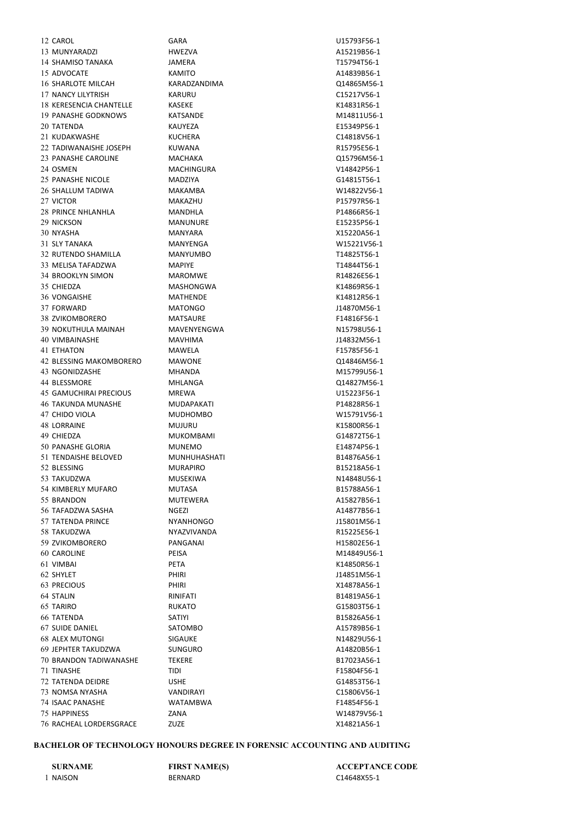CAROL GARA U15793F56-1 MUNYARADZI HWEZVA A15219B56-1 SHAMISO TANAKA JAMERA T15794T56-1 ADVOCATE KAMITO A14839B56-1 SHARLOTE MILCAH KARADZANDIMA Q14865M56-1 NANCY LILYTRISH KARURU C15217V56-1 KERESENCIA CHANTELLE KASEKE K14831R56-1 PANASHE GODKNOWS KATSANDE M14811U56-1 TATENDA KAUYEZA E15349P56-1 KUDAKWASHE KUCHERA C14818V56-1 22 TADIWANAISHE JOSEPH KUWANA R15795E56-1 PANASHE CAROLINE MACHAKA Q15796M56-1 OSMEN MACHINGURA V14842P56-1 PANASHE NICOLE MADZIYA G14815T56-1 SHALLUM TADIWA MAKAMBA W14822V56-1 VICTOR MAKAZHU P15797R56-1 PRINCE NHLANHLA MANDHLA P14866R56-1 NICKSON MANUNURE E15235P56-1 NYASHA MANYARA X15220A56-1 SLY TANAKA MANYENGA W15221V56-1 RUTENDO SHAMILLA MANYUMBO T14825T56-1 MELISA TAFADZWA MAPIYE T14844T56-1 BROOKLYN SIMON MAROMWE R14826E56-1 CHIEDZA MASHONGWA K14869R56-1 VONGAISHE MATHENDE K14812R56-1 FORWARD MATONGO J14870M56-1 38 ZVIKOMBORERO MATSAURE F14816F56-1 39 NOKUTHULA MAINAH MAVENYENGWA NIS798U56-1 VIMBAINASHE MAVHIMA J14832M56-1 ETHATON MAWELA F15785F56-1 BLESSING MAKOMBORERO MAWONE Q14846M56-1 NGONIDZASHE MHANDA M15799U56-1 BLESSMORE MHLANGA Q14827M56-1 GAMUCHIRAI PRECIOUS MREWA U15223F56-1 TAKUNDA MUNASHE MUDAPAKATI P14828R56-1 CHIDO VIOLA MUDHOMBO W15791V56-1 LORRAINE MUJURU K15800R56-1 CHIEDZA MUKOMBAMI G14872T56-1 PANASHE GLORIA MUNEMO E14874P56-1 51 TENDAISHE BELOVED MUNHUHASHATI B14876A56-1 BLESSING MURAPIRO B15218A56-1 TAKUDZWA MUSEKIWA N14848U56-1 KIMBERLY MUFARO MUTASA B15788A56-1 55 BRANDON MUTEWERA A15827B56-1 TAFADZWA SASHA NGEZI A14877B56-1 TATENDA PRINCE NYANHONGO J15801M56-1 TAKUDZWA NYAZVIVANDA R15225E56-1 ZVIKOMBORERO PANGANAI H15802E56-1 CAROLINE PEISA M14849U56-1 VIMBAI PETA K14850R56-1 SHYLET PHIRI J14851M56-1 PRECIOUS PHIRI X14878A56-1 STALIN RINIFATI B14819A56-1 TARIRO RUKATO G15803T56-1 TATENDA SATIYI B15826A56-1 SUIDE DANIEL SATOMBO A15789B56-1 ALEX MUTONGI SIGAUKE N14829U56-1 JEPHTER TAKUDZWA SUNGURO A14820B56-1 BRANDON TADIWANASHE TEKERE B17023A56-1 TINASHE TIDI F15804F56-1 TATENDA DEIDRE USHE G14853T56-1 NOMSA NYASHA VANDIRAYI C15806V56-1 ISAAC PANASHE WATAMBWA F14854F56-1 HAPPINESS ZANA W14879V56-1 RACHEAL LORDERSGRACE ZUZE X14821A56-1

#### BACHELOR OF TECHNOLOGY HONOURS DEGREE IN FORENSIC ACCOUNTING AND AUDITING

NAISON BERNARD C14648X55-1

SURNAME FIRST NAME(S) ACCEPTANCE CODE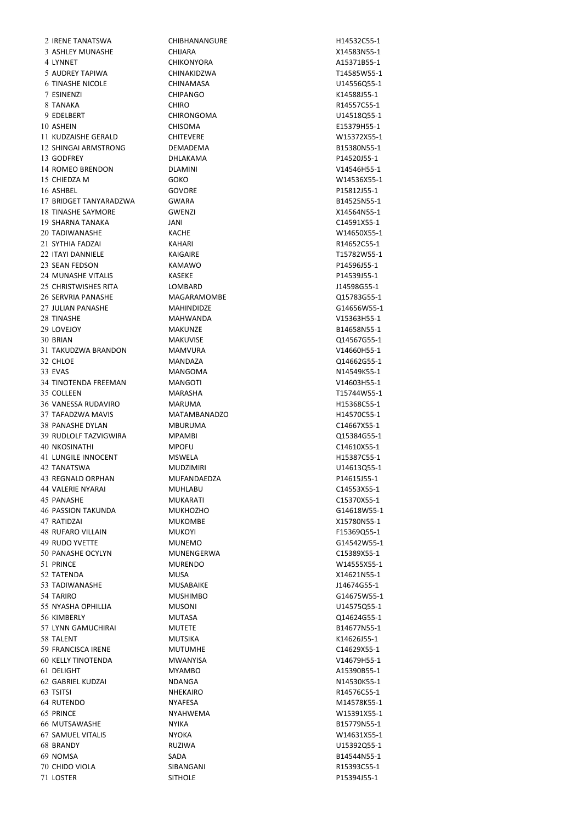LOSTER SITHOLE P15394J55-1

 IRENE TANATSWA CHIBHANANGURE H14532C55-1 ASHLEY MUNASHE CHIJARA X14583N55-1 4 LYNNET CHIKONYORA CHIKONYORA A15371B55-1 AUDREY TAPIWA CHINAKIDZWA T14585W55-1 TINASHE NICOLE CHINAMASA U14556Q55-1 ESINENZI CHIPANGO K14588J55-1 TANAKA CHIRO R14557C55-1 EDELBERT CHIRONGOMA U14518Q55-1 ASHEIN CHISOMA E15379H55-1 KUDZAISHE GERALD CHITEVERE W15372X55-1 SHINGAI ARMSTRONG DEMADEMA B15380N55-1 13 GODFREY DHLAKAMA DHLAKAMA P14520J55-1 ROMEO BRENDON DLAMINI V14546H55-1 CHIEDZA M GOKO W14536X55-1 ASHBEL GOVORE P15812J55-1 BRIDGET TANYARADZWA GWARA B14525N55-1 TINASHE SAYMORE GWENZI X14564N55-1 SHARNA TANAKA JANI C14591X55-1 TADIWANASHE KACHE W14650X55-1 SYTHIA FADZAI KAHARI R14652C55-1 ITAYI DANNIELE KAIGAIRE T15782W55-1 SEAN FEDSON KAMAWO P14596J55-1 MUNASHE VITALIS KASEKE P14539J55-1 CHRISTWISHES RITA LOMBARD J14598G55-1 SERVRIA PANASHE MAGARAMOMBE Q15783G55-1 JULIAN PANASHE MAHINDIDZE G14656W55-1 TINASHE MAHWANDA V15363H55-1 LOVEJOY MAKUNZE B14658N55-1 BRIAN MAKUVISE Q14567G55-1 TAKUDZWA BRANDON MAMVURA V14660H55-1 CHLOE MANDAZA Q14662G55-1 EVAS MANGOMA N14549K55-1 TINOTENDA FREEMAN MANGOTI V14603H55-1 COLLEEN MARASHA T15744W55-1 VANESSA RUDAVIRO MARUMA H15368C55-1 TAFADZWA MAVIS MATAMBANADZO H14570C55-1 PANASHE DYLAN MBURUMA C14667X55-1 RUDLOLF TAZVIGWIRA MPAMBI Q15384G55-1 NKOSINATHI MPOFU C14610X55-1 41 LUNGILE INNOCENT MSWELA MEXIC EXAMPLE A H15387C55-1 TANATSWA MUDZIMIRI U14613Q55-1 REGNALD ORPHAN MUFANDAEDZA P14615J55-1 VALERIE NYARAI MUHLABU C14553X55-1 PANASHE MUKARATI C15370X55-1 PASSION TAKUNDA MUKHOZHO G14618W55-1 RATIDZAI MUKOMBE X15780N55-1 48 RUFARO VILLAIN **MUKOYI** MUKOYI **F15369Q55-1** 49 RUDO YVETTE MUNEMO MUNEMO G14542W55-1 PANASHE OCYLYN MUNENGERWA C15389X55-1 PRINCE MURENDO W14555X55-1 TATENDA MUSA X14621N55-1 53 TADIWANASHE MUSABAIKE MUSABAIKE J14674G55-1 TARIRO MUSHIMBO G14675W55-1 NYASHA OPHILLIA MUSONI U14575Q55-1 KIMBERLY MUTASA Q14624G55-1 57 LYNN GAMUCHIRAI **MUTETE** MUTETE **B14677N55-1**  TALENT MUTSIKA K14626J55-1 FRANCISCA IRENE MUTUMHE C14629X55-1 KELLY TINOTENDA MWANYISA V14679H55-1 DELIGHT MYAMBO A15390B55-1 GABRIEL KUDZAI NDANGA N14530K55-1 TSITSI NHEKAIRO R14576C55-1 RUTENDO NYAFESA M14578K55-1 PRINCE NYAHWEMA W15391X55-1 MUTSAWASHE NYIKA B15779N55-1 SAMUEL VITALIS NYOKA W14631X55-1 BRANDY RUZIWA U15392Q55-1 NOMSA SADA B14544N55-1 CHIDO VIOLA SIBANGANI R15393C55-1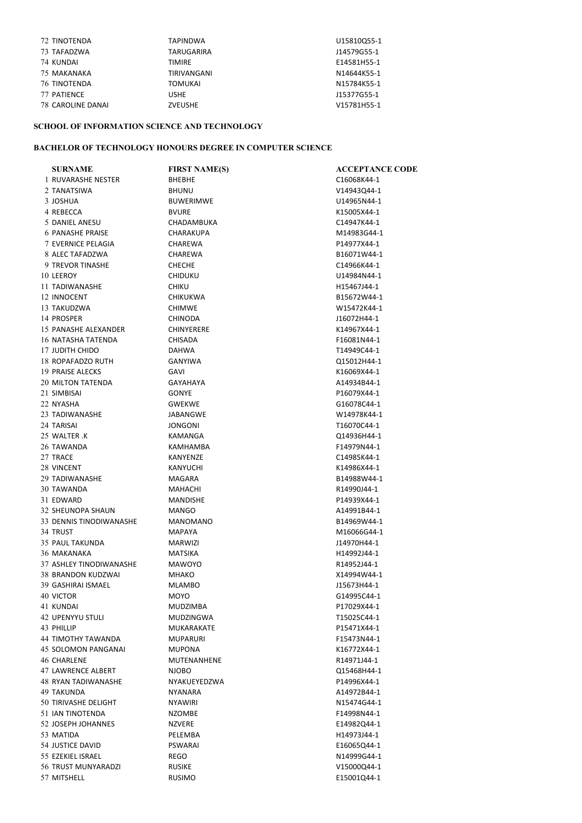| 72 TINOTENDA             | <b>TAPINDWA</b> | U15810Q55-1 |
|--------------------------|-----------------|-------------|
| 73 TAFADZWA              | TARUGARIRA      | J14579G55-1 |
| 74 KUNDAI                | <b>TIMIRE</b>   | E14581H55-1 |
| 75 MAKANAKA              | TIRIVANGANI     | N14644K55-1 |
| <b>76 TINOTENDA</b>      | <b>TOMUKAI</b>  | N15784K55-1 |
| 77 PATIENCE              | <b>USHE</b>     | J15377G55-1 |
| <b>78 CAROLINE DANAI</b> | <b>ZVEUSHE</b>  | V15781H55-1 |

## SCHOOL OF INFORMATION SCIENCE AND TECHNOLOGY

## BACHELOR OF TECHNOLOGY HONOURS DEGREE IN COMPUTER SCIENCE

| <b>SURNAME</b>             | <b>FIRST NAME(S)</b> | <b>ACCEPTANCE CODE</b> |
|----------------------------|----------------------|------------------------|
| 1 RUVARASHE NESTER         | <b>BHEBHE</b>        | C16068K44-1            |
| 2 TANATSIWA                | <b>BHUNU</b>         | V14943Q44-1            |
| 3 JOSHUA                   | <b>BUWERIMWE</b>     | U14965N44-1            |
| 4 REBECCA                  | <b>BVURE</b>         | K15005X44-1            |
| 5 DANIEL ANESU             | CHADAMBUKA           | C14947K44-1            |
| <b>6 PANASHE PRAISE</b>    | <b>CHARAKUPA</b>     | M14983G44-1            |
| 7 EVERNICE PELAGIA         | CHAREWA              | P14977X44-1            |
| 8 ALEC TAFADZWA            | CHAREWA              | B16071W44-1            |
| 9 TREVOR TINASHE           | <b>CHECHE</b>        | C14966K44-1            |
| 10 LEEROY                  | <b>CHIDUKU</b>       | U14984N44-1            |
| 11 TADIWANASHE             | <b>CHIKU</b>         | H15467J44-1            |
| 12 INNOCENT                | <b>CHIKUKWA</b>      | B15672W44-1            |
| 13 TAKUDZWA                | <b>CHIMWE</b>        | W15472K44-1            |
| 14 PROSPER                 | <b>CHINODA</b>       | J16072H44-1            |
| 15 PANASHE ALEXANDER       | <b>CHINYERERE</b>    | K14967X44-1            |
| 16 NATASHA TATENDA         | <b>CHISADA</b>       | F16081N44-1            |
| 17 JUDITH CHIDO            | <b>DAHWA</b>         | T14949C44-1            |
| 18 ROPAFADZO RUTH          | <b>GANYIWA</b>       | Q15012H44-1            |
| 19 PRAISE ALECKS           | GAVI                 | K16069X44-1            |
| 20 MILTON TATENDA          | <b>GAYAHAYA</b>      | A14934B44-1            |
| 21 SIMBISAI                | <b>GONYE</b>         | P16079X44-1            |
| 22 NYASHA                  | <b>GWEKWE</b>        | G16078C44-1            |
| 23 TADIWANASHE             | JABANGWE             | W14978K44-1            |
| 24 TARISAI                 | <b>JONGONI</b>       | T16070C44-1            |
| 25 WALTER .K               | KAMANGA              | Q14936H44-1            |
| 26 TAWANDA                 | KAMHAMBA             | F14979N44-1            |
| 27 TRACE                   | KANYENZE             | C14985K44-1            |
|                            |                      |                        |
| 28 VINCENT                 | KANYUCHI             | K14986X44-1            |
| 29 TADIWANASHE             | MAGARA               | B14988W44-1            |
| 30 TAWANDA                 | MAHACHI              | R14990J44-1            |
| 31 EDWARD                  | MANDISHE             | P14939X44-1            |
| 32 SHEUNOPA SHAUN          | <b>MANGO</b>         | A14991B44-1            |
| 33 DENNIS TINODIWANASHE    | <b>MANOMANO</b>      | B14969W44-1            |
| 34 TRUST                   | <b>MAPAYA</b>        | M16066G44-1            |
| 35 PAUL TAKUNDA            | <b>MARWIZI</b>       | J14970H44-1            |
| 36 MAKANAKA                | <b>MATSIKA</b>       | H14992J44-1            |
| 37 ASHLEY TINODIWANASHE    | <b>MAWOYO</b>        | R14952J44-1            |
| <b>38 BRANDON KUDZWAI</b>  | <b>MHAKO</b>         | X14994W44-1            |
| 39 GASHIRAI ISMAEL         | <b>MLAMBO</b>        | J15673H44-1            |
| 40 VICTOR                  | <b>MOYO</b>          | G14995C44-1            |
| 41 KUNDAI                  | MUDZIMBA             | P17029X44-1            |
| 42 UPENYYU STULI           | MUDZINGWA            | T15025C44-1            |
| 43 PHILLIP                 | MUKARAKATE           | P15471X44-1            |
| <b>44 TIMOTHY TAWANDA</b>  | <b>MUPARURI</b>      | F15473N44-1            |
| <b>45 SOLOMON PANGANAI</b> | <b>MUPONA</b>        | K16772X44-1            |
| 46 CHARLENE                | MUTENANHENE          | R14971J44-1            |
| 47 LAWRENCE ALBERT         | <b>NJOBO</b>         | Q15468H44-1            |
| <b>48 RYAN TADIWANASHE</b> | NYAKUEYEDZWA         | P14996X44-1            |
| 49 TAKUNDA                 | <b>NYANARA</b>       | A14972B44-1            |
| 50 TIRIVASHE DELIGHT       | <b>NYAWIRI</b>       | N15474G44-1            |
| 51 IAN TINOTENDA           | <b>NZOMBE</b>        | F14998N44-1            |
| 52 JOSEPH JOHANNES         | <b>NZVERE</b>        | E14982Q44-1            |
| 53 MATIDA                  | PELEMBA              | H14973J44-1            |
| 54 JUSTICE DAVID           | PSWARAI              | E16065Q44-1            |
| 55 EZEKIEL ISRAEL          | REGO                 | N14999G44-1            |
| 56 TRUST MUNYARADZI        | <b>RUSIKE</b>        | V15000Q44-1            |
| 57 MITSHELL                | <b>RUSIMO</b>        | E15001Q44-1            |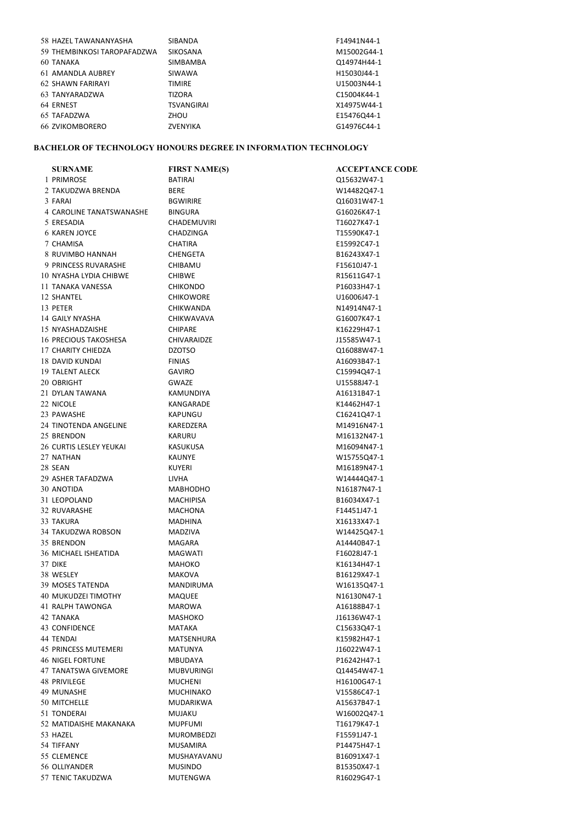| 58 HAZEL TAWANANYASHA       | <b>SIBANDA</b>    | F14941N44-1 |
|-----------------------------|-------------------|-------------|
| 59 THEMBINKOSI TAROPAFADZWA | <b>SIKOSANA</b>   | M15002G44-1 |
| 60 TANAKA                   | <b>SIMBAMBA</b>   | Q14974H44-1 |
| 61 AMANDLA AUBREY           | SIWAWA            | H15030J44-1 |
| <b>62 SHAWN FARIRAYI</b>    | <b>TIMIRE</b>     | U15003N44-1 |
| 63 TANYARADZWA              | <b>TIZORA</b>     | C15004K44-1 |
| 64 ERNEST                   | <b>TSVANGIRAI</b> | X14975W44-1 |
| 65 TAFADZWA                 | ZHOU              | E15476Q44-1 |
| <b>66 ZVIKOMBORERO</b>      | ZVENYIKA          | G14976C44-1 |

# BACHELOR OF TECHNOLOGY HONOURS DEGREE IN INFORMATION TECHNOLOGY

| <b>SURNAME</b>              | <b>FIRST NAME(S)</b>                | <b>ACCEPTANCE CODE</b> |
|-----------------------------|-------------------------------------|------------------------|
| 1 PRIMROSE                  | <b>BATIRAI</b>                      | Q15632W47-1            |
| 2 TAKUDZWA BRENDA           | <b>BERE</b>                         | W14482Q47-1            |
| 3 FARAI                     | <b>BGWIRIRE</b>                     | Q16031W47-1            |
| 4 CAROLINE TANATSWANASHE    | <b>BINGURA</b>                      | G16026K47-1            |
| 5 ERESADIA                  | <b>CHADEMUVIRI</b>                  | T16027K47-1            |
| <b>6 KAREN JOYCE</b>        | <b>CHADZINGA</b>                    | T15590K47-1            |
| 7 CHAMISA                   | <b>CHATIRA</b>                      | E15992C47-1            |
| 8 RUVIMBO HANNAH            | <b>CHENGETA</b>                     | B16243X47-1            |
| 9 PRINCESS RUVARASHE        | CHIBAMU                             | F15610J47-1            |
| 10 NYASHA LYDIA CHIBWE      | <b>CHIBWE</b>                       | R15611G47-1            |
| 11 TANAKA VANESSA           | <b>CHIKONDO</b>                     | P16033H47-1            |
| 12 SHANTEL                  | <b>CHIKOWORE</b>                    | U16006J47-1            |
| 13 PETER                    | <b>CHIKWANDA</b>                    | N14914N47-1            |
| 14 GAILY NYASHA             | CHIKWAVAVA                          | G16007K47-1            |
| 15 NYASHADZAISHE            | <b>CHIPARE</b>                      | K16229H47-1            |
| 16 PRECIOUS TAKOSHESA       | CHIVARAIDZE                         | J15585W47-1            |
| 17 CHARITY CHIEDZA          | <b>DZOTSO</b>                       | Q16088W47-1            |
| 18 DAVID KUNDAI             | <b>FINIAS</b>                       | A16093B47-1            |
| 19 TALENT ALECK             | <b>GAVIRO</b>                       | C15994Q47-1            |
| 20 OBRIGHT                  | <b>GWAZE</b>                        | U15588J47-1            |
| 21 DYLAN TAWANA             | KAMUNDIYA                           | A16131B47-1            |
| 22 NICOLE                   | KANGARADE                           | K14462H47-1            |
| 23 PAWASHE                  | KAPUNGU                             | C16241Q47-1            |
| 24 TINOTENDA ANGELINE       | KAREDZERA                           | M14916N47-1            |
| 25 BRENDON                  | <b>KARURU</b>                       | M16132N47-1            |
| 26 CURTIS LESLEY YEUKAI     | KASUKUSA                            | M16094N47-1            |
| 27 NATHAN                   | <b>KAUNYE</b>                       |                        |
| 28 SEAN                     | <b>KUYERI</b>                       | W15755Q47-1            |
| 29 ASHER TAFADZWA           | <b>LIVHA</b>                        | M16189N47-1            |
| 30 ANOTIDA                  |                                     | W14444Q47-1            |
| 31 LEOPOLAND                | <b>MABHODHO</b><br><b>MACHIPISA</b> | N16187N47-1            |
|                             |                                     | B16034X47-1            |
| 32 RUVARASHE                | <b>MACHONA</b>                      | F14451J47-1            |
| 33 TAKURA                   | <b>MADHINA</b>                      | X16133X47-1            |
| 34 TAKUDZWA ROBSON          | MADZIVA                             | W14425Q47-1            |
| 35 BRENDON                  | MAGARA                              | A14440B47-1            |
| 36 MICHAEL ISHEATIDA        | <b>MAGWATI</b>                      | F16028J47-1            |
| 37 DIKE                     | <b>MAHOKO</b>                       | K16134H47-1            |
| 38 WESLEY                   | <b>MAKOVA</b>                       | B16129X47-1            |
| 39 MOSES TATENDA            | <b>MANDIRUMA</b>                    | W16135Q47-1            |
| 40 MUKUDZEI TIMOTHY         | <b>MAQUEE</b>                       | N16130N47-1            |
| 41 RALPH TAWONGA            | MAROWA                              | A16188B47-1            |
| 42 TANAKA                   | MASHOKO                             | J16136W47-1            |
| 43 CONFIDENCE               | MATAKA                              | C15633Q47-1            |
| 44 TENDAI                   | MATSENHURA                          | K15982H47-1            |
| <b>45 PRINCESS MUTEMERI</b> | <b>MATUNYA</b>                      | J16022W47-1            |
| 46 NIGEL FORTUNE            | MBUDAYA                             | P16242H47-1            |
| 47 TANATSWA GIVEMORE        | <b>MUBVURINGI</b>                   | Q14454W47-1            |
| 48 PRIVILEGE                | <b>MUCHENI</b>                      | H16100G47-1            |
| 49 MUNASHE                  | MUCHINAKO                           | V15586C47-1            |
| 50 MITCHELLE                | <b>MUDARIKWA</b>                    | A15637B47-1            |
| 51 TONDERAI                 | <b>MUJAKU</b>                       | W16002Q47-1            |
| 52 MATIDAISHE MAKANAKA      | <b>MUPFUMI</b>                      | T16179K47-1            |
| 53 HAZEL                    | MUROMBEDZI                          | F15591J47-1            |
| 54 TIFFANY                  | <b>MUSAMIRA</b>                     | P14475H47-1            |
| 55 CLEMENCE                 | MUSHAYAVANU                         | B16091X47-1            |
| 56 OLLIYANDER               | <b>MUSINDO</b>                      | B15350X47-1            |
| 57 TENIC TAKUDZWA           | MUTENGWA                            | R16029G47-1            |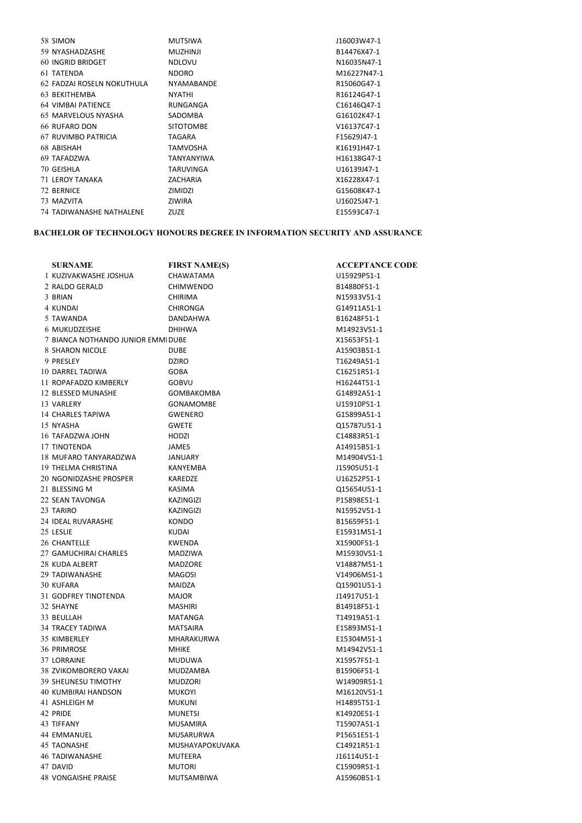| 58 SIMON                   | <b>MUTSIWA</b>    | J16003W47-1 |
|----------------------------|-------------------|-------------|
| 59 NYASHADZASHE            | <b>MUZHINJI</b>   | B14476X47-1 |
| <b>60 INGRID BRIDGET</b>   | <b>NDLOVU</b>     | N16035N47-1 |
| 61 TATENDA                 | <b>NDORO</b>      | M16227N47-1 |
| 62 FADZAI ROSELN NOKUTHULA | <b>NYAMABANDE</b> | R15060G47-1 |
| 63 BEKITHEMBA              | <b>NYATHI</b>     | R16124G47-1 |
| <b>64 VIMBAI PATIENCE</b>  | RUNGANGA          | C16146Q47-1 |
| 65 MARVELOUS NYASHA        | SADOMBA           | G16102K47-1 |
| <b>66 RUFARO DON</b>       | <b>SITOTOMBE</b>  | V16137C47-1 |
| 67 RUVIMBO PATRICIA        | TAGARA            | F15629J47-1 |
| 68 ABISHAH                 | TAMVOSHA          | K16191H47-1 |
| 69 TAFADZWA                | <b>TANYANYIWA</b> | H16138G47-1 |
| 70 GEISHLA                 | TARUVINGA         | U16139J47-1 |
| <b>71 LEROY TANAKA</b>     | ZACHARIA          | X16228X47-1 |
| 72 BERNICE                 | ZIMIDZI           | G15608K47-1 |
| 73 MAZVITA                 | <b>ZIWIRA</b>     | U16025J47-1 |
| 74 TADIWANASHE NATHALENE   | ZUZE              | E15593C47-1 |
|                            |                   |             |

## BACHELOR OF TECHNOLOGY HONOURS DEGREE IN INFORMATION SECURITY AND ASSURANCE

| <b>SURNAME</b>                     | <b>FIRST NAME(S)</b> | <b>ACCEPTANCE CODE</b> |
|------------------------------------|----------------------|------------------------|
| 1 KUZIVAKWASHE JOSHUA              | CHAWATAMA            | U15929P51-1            |
| 2 RALDO GERALD                     | <b>CHIMWENDO</b>     | B14880F51-1            |
| 3 BRIAN                            | <b>CHIRIMA</b>       | N15933V51-1            |
| 4 KUNDAI                           | <b>CHIRONGA</b>      | G14911A51-1            |
| 5 TAWANDA                          | DANDAHWA             | B16248F51-1            |
| 6 MUKUDZEISHE                      | <b>DHIHWA</b>        | M14923V51-1            |
| 7 BIANCA NOTHANDO JUNIOR EMMI DUBE |                      | X15653F51-1            |
| 8 SHARON NICOLE                    | <b>DUBE</b>          | A15903B51-1            |
| 9 PRESLEY                          | <b>DZIRO</b>         | T16249A51-1            |
| 10 DARREL TADIWA                   | GOBA                 | C16251R51-1            |
| 11 ROPAFADZO KIMBERLY              | <b>GOBVU</b>         | H16244T51-1            |
| 12 BLESSED MUNASHE                 | <b>GOMBAKOMBA</b>    | G14892A51-1            |
| 13 VARLERY                         | <b>GONAMOMBE</b>     | U15910P51-1            |
| 14 CHARLES TAPIWA                  | <b>GWENERO</b>       | G15899A51-1            |
| 15 NYASHA                          | <b>GWETE</b>         | Q15787U51-1            |
| 16 TAFADZWA JOHN                   | HODZI                | C14883R51-1            |
| 17 TINOTENDA                       | JAMES                | A14915B51-1            |
| 18 MUFARO TANYARADZWA              | JANUARY              | M14904V51-1            |
| 19 THELMA CHRISTINA                | KANYEMBA             | J15905U51-1            |
| 20 NGONIDZASHE PROSPER             | KAREDZE              | U16252P51-1            |
| 21 BLESSING M                      | KASIMA               | Q15654U51-1            |
| 22 SEAN TAVONGA                    | <b>KAZINGIZI</b>     | P15898E51-1            |
| 23 TARIRO                          | KAZINGIZI            | N15952V51-1            |
| 24 IDEAL RUVARASHE                 | <b>KONDO</b>         | B15659F51-1            |
| 25 LESLIE                          | KUDAI                | E15931M51-1            |
| 26 CHANTELLE                       | KWENDA               | X15900F51-1            |
| 27 GAMUCHIRAI CHARLES              | <b>MADZIWA</b>       | M15930V51-1            |
| 28 KUDA ALBERT                     | <b>MADZORE</b>       | V14887M51-1            |
| 29 TADIWANASHE                     | MAGOSI               | V14906M51-1            |
| 30 KUFARA                          | MAIDZA               | Q15901U51-1            |
| 31 GODFREY TINOTENDA               | <b>MAJOR</b>         | J14917U51-1            |
| 32 SHAYNE                          | <b>MASHIRI</b>       | B14918F51-1            |
| 33 BEULLAH                         | MATANGA              | T14919A51-1            |
| 34 TRACEY TADIWA                   | <b>MATSAIRA</b>      | E15893M51-1            |
| 35 KIMBERLEY                       | MHARAKURWA           | E15304M51-1            |
| 36 PRIMROSE                        | <b>MHIKE</b>         | M14942V51-1            |
| 37 LORRAINE                        | <b>MUDUWA</b>        | X15957F51-1            |
| 38 ZVIKOMBORERO VAKAI              | MUDZAMBA             | B15906F51-1            |
| <b>39 SHEUNESU TIMOTHY</b>         | <b>MUDZORI</b>       | W14909R51-1            |
| 40 KUMBIRAI HANDSON                | <b>MUKOYI</b>        | M16120V51-1            |
| 41 ASHLEIGH M                      | <b>MUKUNI</b>        | H14895T51-1            |
| 42 PRIDE                           | <b>MUNETSI</b>       | K14920E51-1            |
| 43 TIFFANY                         | MUSAMIRA             | T15907A51-1            |
| 44 EMMANUEL                        | MUSARURWA            | P15651E51-1            |
| 45 TAONASHE                        | MUSHAYAPOKUVAKA      | C14921R51-1            |
| <b>46 TADIWANASHE</b>              | MUTEERA              | J16114U51-1            |
| 47 DAVID                           | <b>MUTORI</b>        | C15909R51-1            |
| 48 VONGAISHE PRAISE                | <b>MUTSAMBIWA</b>    | A15960B51-1            |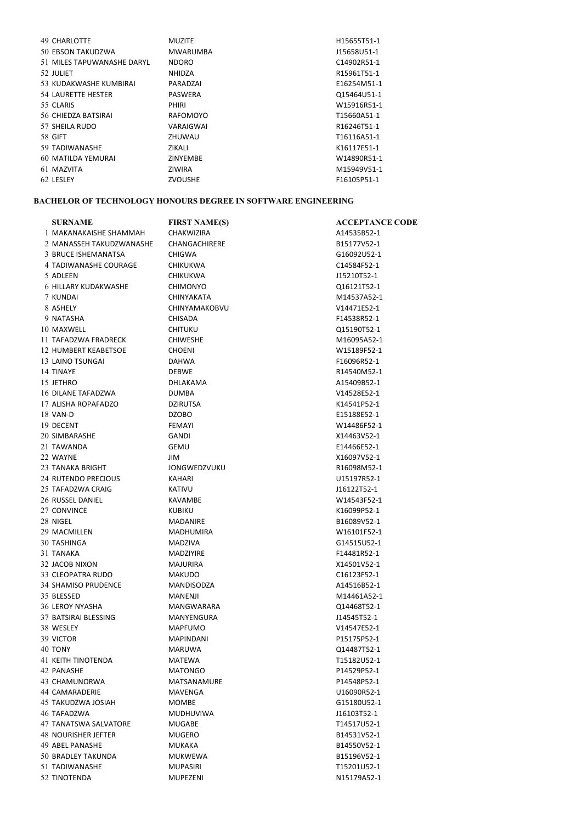| <b>49 CHARLOTTE</b>        | <b>MUZITE</b>   | H15655T51-1 |
|----------------------------|-----------------|-------------|
| 50 EBSON TAKUDZWA          | <b>MWARUMBA</b> | J15658U51-1 |
| 51 MILES TAPUWANASHE DARYL | <b>NDORO</b>    | C14902R51-1 |
| 52 JULIET                  | <b>NHIDZA</b>   | R15961T51-1 |
| 53 KUDAKWASHE KUMBIRAI     | PARADZAI        | E16254M51-1 |
| 54 LAURETTE HESTER         | <b>PASWERA</b>  | Q15464U51-1 |
| 55 CLARIS                  | <b>PHIRI</b>    | W15916R51-1 |
| 56 CHIEDZA BATSIRAI        | RAFOMOYO        | T15660A51-1 |
| 57 SHEILA RUDO             | VARAIGWAI       | R16246T51-1 |
| <b>58 GIFT</b>             | ZHUWAU          | T16116A51-1 |
| 59 TADIWANASHE             | ZIKALI          | K16117E51-1 |
| 60 MATILDA YEMURAI         | <b>ZINYEMBE</b> | W14890R51-1 |
| 61 MAZVITA                 | <b>ZIWIRA</b>   | M15949V51-1 |
| 62 LESLEY                  | <b>ZVOUSHE</b>  | F16105P51-1 |

## BACHELOR OF TECHNOLOGY HONOURS DEGREE IN SOFTWARE ENGINEERING

| <b>SURNAME</b>              | <b>FIRST NAME(S)</b> | <b>ACCEPTANCE CODE</b> |
|-----------------------------|----------------------|------------------------|
| 1 MAKANAKAISHE SHAMMAH      | <b>CHAKWIZIRA</b>    | A14535B52-1            |
| 2 MANASSEH TAKUDZWANASHE    | CHANGACHIRERE        | B15177V52-1            |
| 3 BRUCE ISHEMANATSA         | <b>CHIGWA</b>        | G16092U52-1            |
| 4 TADIWANASHE COURAGE       | <b>CHIKUKWA</b>      | C14584F52-1            |
| 5 ADLEEN                    | <b>CHIKUKWA</b>      | J15210T52-1            |
| 6 HILLARY KUDAKWASHE        | <b>CHIMONYO</b>      | Q16121T52-1            |
| 7 KUNDAI                    | <b>CHINYAKATA</b>    | M14537A52-1            |
| 8 ASHELY                    | <b>CHINYAMAKOBVU</b> | V14471E52-1            |
| 9 NATASHA                   | <b>CHISADA</b>       | F14538R52-1            |
| 10 MAXWELL                  | <b>CHITUKU</b>       | Q15190T52-1            |
| 11 TAFADZWA FRADRECK        | <b>CHIWESHE</b>      | M16095A52-1            |
| <b>12 HUMBERT KEABETSOE</b> | <b>CHOENI</b>        | W15189F52-1            |
| 13 LAINO TSUNGAI            | <b>DAHWA</b>         | F16096R52-1            |
| 14 TINAYE                   | <b>DEBWE</b>         | R14540M52-1            |
| 15 JETHRO                   | <b>DHLAKAMA</b>      | A15409B52-1            |
| 16 DILANE TAFADZWA          | <b>DUMBA</b>         | V14528E52-1            |
| 17 ALISHA ROPAFADZO         | <b>DZIRUTSA</b>      | K14541P52-1            |
| 18 VAN-D                    | <b>DZOBO</b>         | E15188E52-1            |
| 19 DECENT                   | <b>FEMAYI</b>        | W14486F52-1            |
|                             | <b>GANDI</b>         | X14463V52-1            |
| 20 SIMBARASHE               |                      |                        |
| 21 TAWANDA                  | <b>GEMU</b>          | E14466E52-1            |
| 22 WAYNE                    | <b>JIM</b>           | X16097V52-1            |
| 23 TANAKA BRIGHT            | <b>JONGWEDZVUKU</b>  | R16098M52-1            |
| <b>24 RUTENDO PRECIOUS</b>  | KAHARI               | U15197R52-1            |
| 25 TAFADZWA CRAIG           | <b>KATIVU</b>        | J16122T52-1            |
| 26 RUSSEL DANIEL            | <b>KAVAMBE</b>       | W14543F52-1            |
| 27 CONVINCE                 | <b>KUBIKU</b>        | K16099P52-1            |
| 28 NIGEL                    | <b>MADANIRE</b>      | B16089V52-1            |
| 29 MACMILLEN                | MADHUMIRA            | W16101F52-1            |
| 30 TASHINGA                 | <b>MADZIVA</b>       | G14515U52-1            |
| 31 TANAKA                   | <b>MADZIYIRE</b>     | F14481R52-1            |
| 32 JACOB NIXON              | <b>MAJURIRA</b>      | X14501V52-1            |
| 33 CLEOPATRA RUDO           | <b>MAKUDO</b>        | C16123F52-1            |
| 34 SHAMISO PRUDENCE         | MANDISODZA           | A14516B52-1            |
| 35 BLESSED                  | MANENJI              | M14461A52-1            |
| 36 LEROY NYASHA             | MANGWARARA           | Q14468T52-1            |
| 37 BATSIRAI BLESSING        | MANYENGURA           | J14545T52-1            |
| 38 WESLEY                   | <b>MAPFUMO</b>       | V14547E52-1            |
| 39 VICTOR                   | <b>MAPINDANI</b>     | P15175P52-1            |
| 40 TONY                     | MARUWA               | Q14487T52-1            |
| 41 KEITH TINOTENDA          | <b>MATEWA</b>        | T15182U52-1            |
| 42 PANASHE                  | <b>MATONGO</b>       | P14529P52-1            |
| 43 CHAMUNORWA               | MATSANAMURE          | P14548P52-1            |
| 44 CAMARADERIE              | MAVENGA              | U16090R52-1            |
| 45 TAKUDZWA JOSIAH          | <b>MOMBE</b>         | G15180U52-1            |
| 46 TAFADZWA                 | MUDHUVIWA            | J16103T52-1            |
| 47 TANATSWA SALVATORE       | <b>MUGABE</b>        | T14517U52-1            |
| 48 NOURISHER JEFTER         | MUGERO               | B14531V52-1            |
| 49 ABEL PANASHE             | MUKAKA               | B14550V52-1            |
| 50 BRADLEY TAKUNDA          | MUKWEWA              | B15196V52-1            |
| 51 TADIWANASHE              | <b>MUPASIRI</b>      | T15201U52-1            |
| 52 TINOTENDA                | MUPEZENI             | N15179A52-1            |